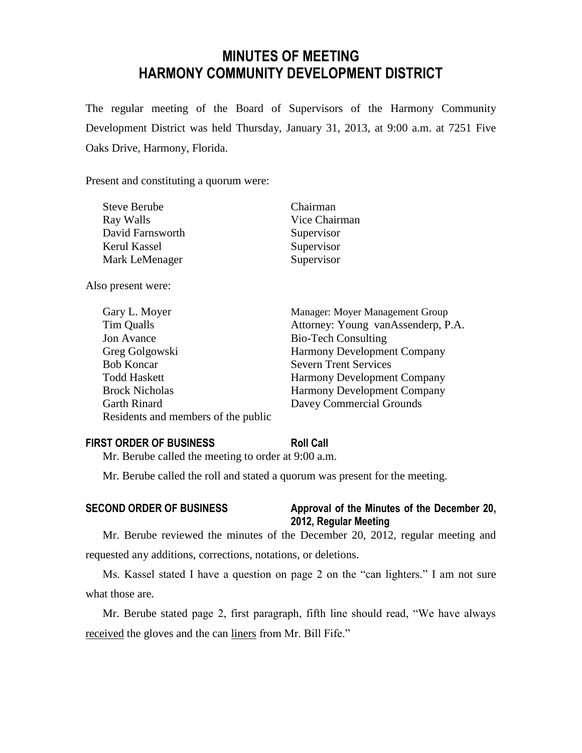# **MINUTES OF MEETING HARMONY COMMUNITY DEVELOPMENT DISTRICT**

The regular meeting of the Board of Supervisors of the Harmony Community Development District was held Thursday, January 31, 2013, at 9:00 a.m. at 7251 Five Oaks Drive, Harmony, Florida.

Present and constituting a quorum were:

| <b>Steve Berube</b> | Chairman      |
|---------------------|---------------|
| Ray Walls           | Vice Chairman |
| David Farnsworth    | Supervisor    |
| Kerul Kassel        | Supervisor    |
| Mark LeMenager      | Supervisor    |

Also present were:

| Gary L. Moyer                       | Manager: Moyer Management Group    |
|-------------------------------------|------------------------------------|
| Tim Qualls                          | Attorney: Young vanAssenderp, P.A. |
| Jon Avance                          | <b>Bio-Tech Consulting</b>         |
| Greg Golgowski                      | Harmony Development Company        |
| <b>Bob Koncar</b>                   | <b>Severn Trent Services</b>       |
| <b>Todd Haskett</b>                 | <b>Harmony Development Company</b> |
| <b>Brock Nicholas</b>               | <b>Harmony Development Company</b> |
| <b>Garth Rinard</b>                 | Davey Commercial Grounds           |
| Residents and members of the public |                                    |

## **FIRST ORDER OF BUSINESS Roll Call**

Mr. Berube called the meeting to order at 9:00 a.m.

Mr. Berube called the roll and stated a quorum was present for the meeting.

## **SECOND ORDER OF BUSINESS Approval of the Minutes of the December 20, 2012, Regular Meeting**

Mr. Berube reviewed the minutes of the December 20, 2012, regular meeting and requested any additions, corrections, notations, or deletions.

Ms. Kassel stated I have a question on page 2 on the "can lighters." I am not sure what those are.

Mr. Berube stated page 2, first paragraph, fifth line should read, "We have always received the gloves and the can liners from Mr. Bill Fife."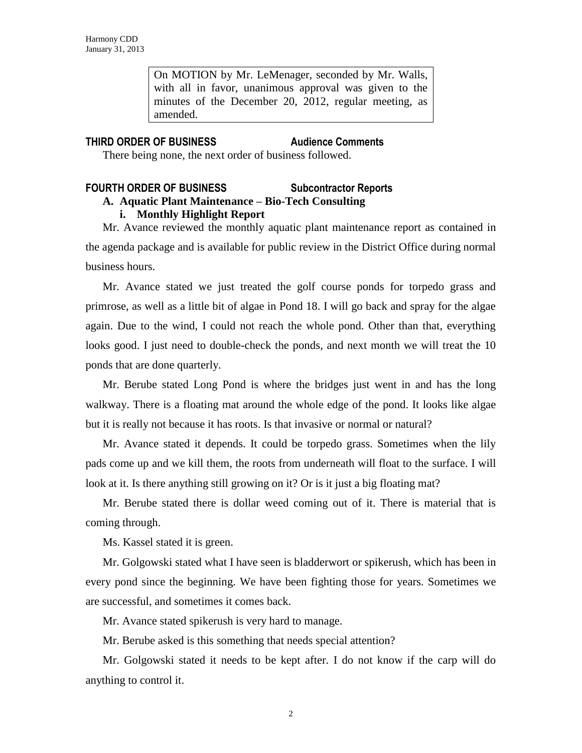On MOTION by Mr. LeMenager, seconded by Mr. Walls, with all in favor, unanimous approval was given to the minutes of the December 20, 2012, regular meeting, as amended.

### **THIRD ORDER OF BUSINESS Audience Comments**

There being none, the next order of business followed.

## **FOURTH ORDER OF BUSINESS Subcontractor Reports A. Aquatic Plant Maintenance – Bio-Tech Consulting i. Monthly Highlight Report**

Mr. Avance reviewed the monthly aquatic plant maintenance report as contained in the agenda package and is available for public review in the District Office during normal business hours.

Mr. Avance stated we just treated the golf course ponds for torpedo grass and primrose, as well as a little bit of algae in Pond 18. I will go back and spray for the algae again. Due to the wind, I could not reach the whole pond. Other than that, everything looks good. I just need to double-check the ponds, and next month we will treat the 10 ponds that are done quarterly.

Mr. Berube stated Long Pond is where the bridges just went in and has the long walkway. There is a floating mat around the whole edge of the pond. It looks like algae but it is really not because it has roots. Is that invasive or normal or natural?

Mr. Avance stated it depends. It could be torpedo grass. Sometimes when the lily pads come up and we kill them, the roots from underneath will float to the surface. I will look at it. Is there anything still growing on it? Or is it just a big floating mat?

Mr. Berube stated there is dollar weed coming out of it. There is material that is coming through.

Ms. Kassel stated it is green.

Mr. Golgowski stated what I have seen is bladderwort or spikerush, which has been in every pond since the beginning. We have been fighting those for years. Sometimes we are successful, and sometimes it comes back.

Mr. Avance stated spikerush is very hard to manage.

Mr. Berube asked is this something that needs special attention?

Mr. Golgowski stated it needs to be kept after. I do not know if the carp will do anything to control it.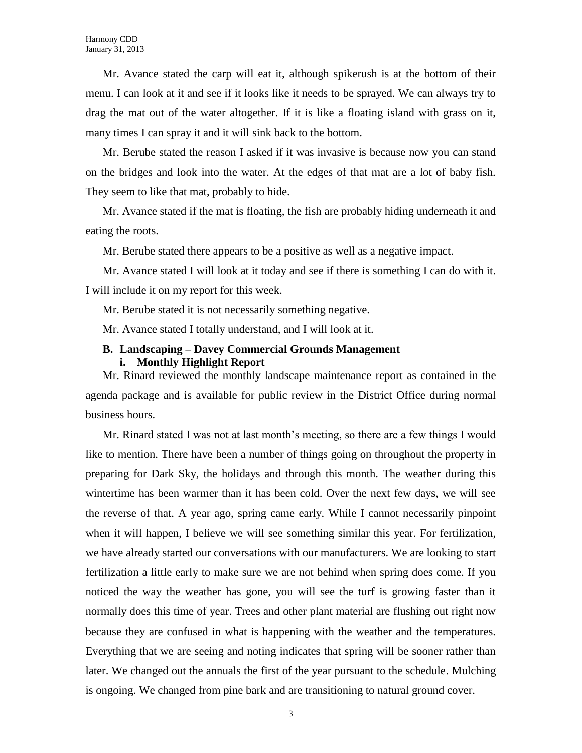Mr. Avance stated the carp will eat it, although spikerush is at the bottom of their menu. I can look at it and see if it looks like it needs to be sprayed. We can always try to drag the mat out of the water altogether. If it is like a floating island with grass on it, many times I can spray it and it will sink back to the bottom.

Mr. Berube stated the reason I asked if it was invasive is because now you can stand on the bridges and look into the water. At the edges of that mat are a lot of baby fish. They seem to like that mat, probably to hide.

Mr. Avance stated if the mat is floating, the fish are probably hiding underneath it and eating the roots.

Mr. Berube stated there appears to be a positive as well as a negative impact.

Mr. Avance stated I will look at it today and see if there is something I can do with it. I will include it on my report for this week.

Mr. Berube stated it is not necessarily something negative.

Mr. Avance stated I totally understand, and I will look at it.

## **B. Landscaping – Davey Commercial Grounds Management i. Monthly Highlight Report**

Mr. Rinard reviewed the monthly landscape maintenance report as contained in the agenda package and is available for public review in the District Office during normal business hours.

Mr. Rinard stated I was not at last month's meeting, so there are a few things I would like to mention. There have been a number of things going on throughout the property in preparing for Dark Sky, the holidays and through this month. The weather during this wintertime has been warmer than it has been cold. Over the next few days, we will see the reverse of that. A year ago, spring came early. While I cannot necessarily pinpoint when it will happen, I believe we will see something similar this year. For fertilization, we have already started our conversations with our manufacturers. We are looking to start fertilization a little early to make sure we are not behind when spring does come. If you noticed the way the weather has gone, you will see the turf is growing faster than it normally does this time of year. Trees and other plant material are flushing out right now because they are confused in what is happening with the weather and the temperatures. Everything that we are seeing and noting indicates that spring will be sooner rather than later. We changed out the annuals the first of the year pursuant to the schedule. Mulching is ongoing. We changed from pine bark and are transitioning to natural ground cover.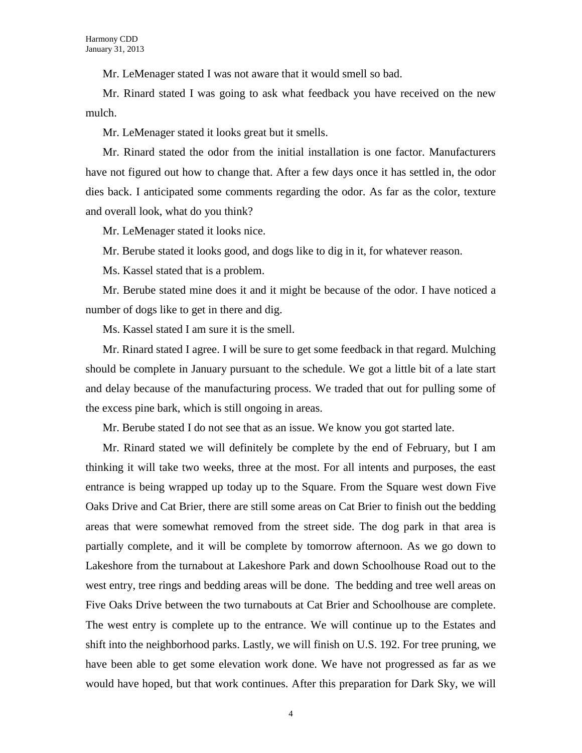Mr. LeMenager stated I was not aware that it would smell so bad.

Mr. Rinard stated I was going to ask what feedback you have received on the new mulch.

Mr. LeMenager stated it looks great but it smells.

Mr. Rinard stated the odor from the initial installation is one factor. Manufacturers have not figured out how to change that. After a few days once it has settled in, the odor dies back. I anticipated some comments regarding the odor. As far as the color, texture and overall look, what do you think?

Mr. LeMenager stated it looks nice.

Mr. Berube stated it looks good, and dogs like to dig in it, for whatever reason.

Ms. Kassel stated that is a problem.

Mr. Berube stated mine does it and it might be because of the odor. I have noticed a number of dogs like to get in there and dig.

Ms. Kassel stated I am sure it is the smell.

Mr. Rinard stated I agree. I will be sure to get some feedback in that regard. Mulching should be complete in January pursuant to the schedule. We got a little bit of a late start and delay because of the manufacturing process. We traded that out for pulling some of the excess pine bark, which is still ongoing in areas.

Mr. Berube stated I do not see that as an issue. We know you got started late.

Mr. Rinard stated we will definitely be complete by the end of February, but I am thinking it will take two weeks, three at the most. For all intents and purposes, the east entrance is being wrapped up today up to the Square. From the Square west down Five Oaks Drive and Cat Brier, there are still some areas on Cat Brier to finish out the bedding areas that were somewhat removed from the street side. The dog park in that area is partially complete, and it will be complete by tomorrow afternoon. As we go down to Lakeshore from the turnabout at Lakeshore Park and down Schoolhouse Road out to the west entry, tree rings and bedding areas will be done. The bedding and tree well areas on Five Oaks Drive between the two turnabouts at Cat Brier and Schoolhouse are complete. The west entry is complete up to the entrance. We will continue up to the Estates and shift into the neighborhood parks. Lastly, we will finish on U.S. 192. For tree pruning, we have been able to get some elevation work done. We have not progressed as far as we would have hoped, but that work continues. After this preparation for Dark Sky, we will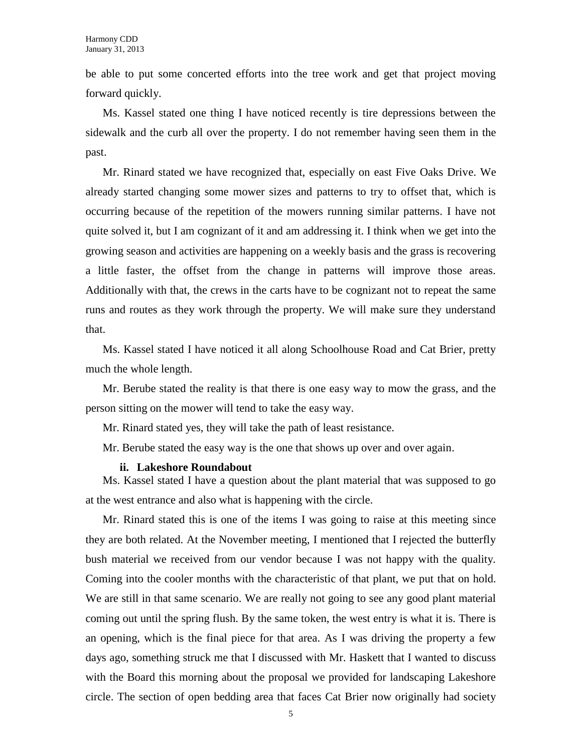be able to put some concerted efforts into the tree work and get that project moving forward quickly.

Ms. Kassel stated one thing I have noticed recently is tire depressions between the sidewalk and the curb all over the property. I do not remember having seen them in the past.

Mr. Rinard stated we have recognized that, especially on east Five Oaks Drive. We already started changing some mower sizes and patterns to try to offset that, which is occurring because of the repetition of the mowers running similar patterns. I have not quite solved it, but I am cognizant of it and am addressing it. I think when we get into the growing season and activities are happening on a weekly basis and the grass is recovering a little faster, the offset from the change in patterns will improve those areas. Additionally with that, the crews in the carts have to be cognizant not to repeat the same runs and routes as they work through the property. We will make sure they understand that.

Ms. Kassel stated I have noticed it all along Schoolhouse Road and Cat Brier, pretty much the whole length.

Mr. Berube stated the reality is that there is one easy way to mow the grass, and the person sitting on the mower will tend to take the easy way.

Mr. Rinard stated yes, they will take the path of least resistance.

Mr. Berube stated the easy way is the one that shows up over and over again.

### **ii. Lakeshore Roundabout**

Ms. Kassel stated I have a question about the plant material that was supposed to go at the west entrance and also what is happening with the circle.

Mr. Rinard stated this is one of the items I was going to raise at this meeting since they are both related. At the November meeting, I mentioned that I rejected the butterfly bush material we received from our vendor because I was not happy with the quality. Coming into the cooler months with the characteristic of that plant, we put that on hold. We are still in that same scenario. We are really not going to see any good plant material coming out until the spring flush. By the same token, the west entry is what it is. There is an opening, which is the final piece for that area. As I was driving the property a few days ago, something struck me that I discussed with Mr. Haskett that I wanted to discuss with the Board this morning about the proposal we provided for landscaping Lakeshore circle. The section of open bedding area that faces Cat Brier now originally had society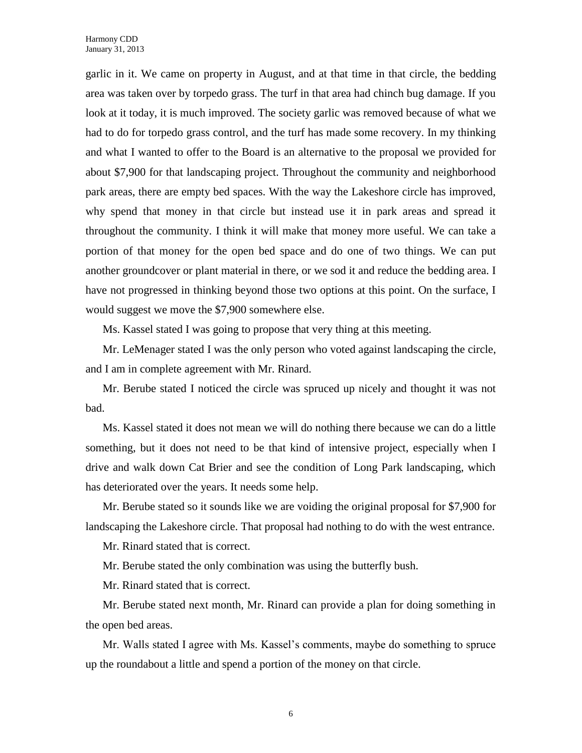garlic in it. We came on property in August, and at that time in that circle, the bedding area was taken over by torpedo grass. The turf in that area had chinch bug damage. If you look at it today, it is much improved. The society garlic was removed because of what we had to do for torpedo grass control, and the turf has made some recovery. In my thinking and what I wanted to offer to the Board is an alternative to the proposal we provided for about \$7,900 for that landscaping project. Throughout the community and neighborhood park areas, there are empty bed spaces. With the way the Lakeshore circle has improved, why spend that money in that circle but instead use it in park areas and spread it throughout the community. I think it will make that money more useful. We can take a portion of that money for the open bed space and do one of two things. We can put another groundcover or plant material in there, or we sod it and reduce the bedding area. I have not progressed in thinking beyond those two options at this point. On the surface, I would suggest we move the \$7,900 somewhere else.

Ms. Kassel stated I was going to propose that very thing at this meeting.

Mr. LeMenager stated I was the only person who voted against landscaping the circle, and I am in complete agreement with Mr. Rinard.

Mr. Berube stated I noticed the circle was spruced up nicely and thought it was not bad.

Ms. Kassel stated it does not mean we will do nothing there because we can do a little something, but it does not need to be that kind of intensive project, especially when I drive and walk down Cat Brier and see the condition of Long Park landscaping, which has deteriorated over the years. It needs some help.

Mr. Berube stated so it sounds like we are voiding the original proposal for \$7,900 for landscaping the Lakeshore circle. That proposal had nothing to do with the west entrance.

Mr. Rinard stated that is correct.

Mr. Berube stated the only combination was using the butterfly bush.

Mr. Rinard stated that is correct.

Mr. Berube stated next month, Mr. Rinard can provide a plan for doing something in the open bed areas.

Mr. Walls stated I agree with Ms. Kassel's comments, maybe do something to spruce up the roundabout a little and spend a portion of the money on that circle.

6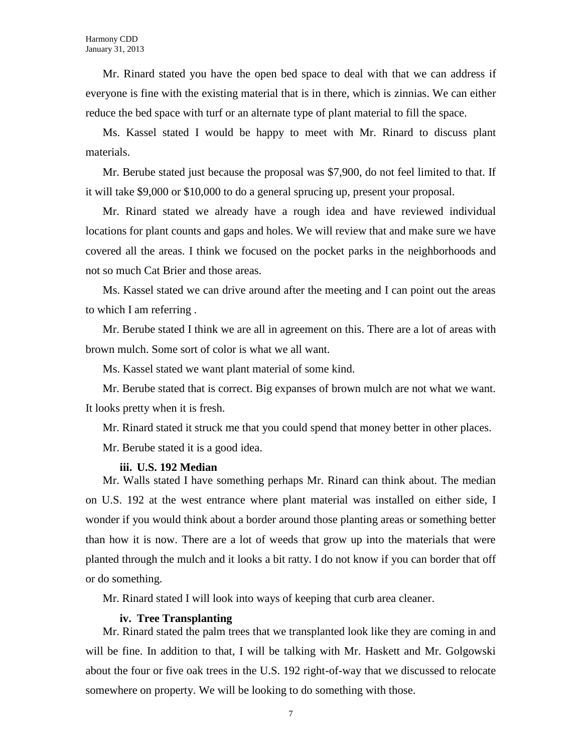Mr. Rinard stated you have the open bed space to deal with that we can address if everyone is fine with the existing material that is in there, which is zinnias. We can either reduce the bed space with turf or an alternate type of plant material to fill the space.

Ms. Kassel stated I would be happy to meet with Mr. Rinard to discuss plant materials.

Mr. Berube stated just because the proposal was \$7,900, do not feel limited to that. If it will take \$9,000 or \$10,000 to do a general sprucing up, present your proposal.

Mr. Rinard stated we already have a rough idea and have reviewed individual locations for plant counts and gaps and holes. We will review that and make sure we have covered all the areas. I think we focused on the pocket parks in the neighborhoods and not so much Cat Brier and those areas.

Ms. Kassel stated we can drive around after the meeting and I can point out the areas to which I am referring .

Mr. Berube stated I think we are all in agreement on this. There are a lot of areas with brown mulch. Some sort of color is what we all want.

Ms. Kassel stated we want plant material of some kind.

Mr. Berube stated that is correct. Big expanses of brown mulch are not what we want. It looks pretty when it is fresh.

Mr. Rinard stated it struck me that you could spend that money better in other places.

Mr. Berube stated it is a good idea.

### **iii. U.S. 192 Median**

Mr. Walls stated I have something perhaps Mr. Rinard can think about. The median on U.S. 192 at the west entrance where plant material was installed on either side, I wonder if you would think about a border around those planting areas or something better than how it is now. There are a lot of weeds that grow up into the materials that were planted through the mulch and it looks a bit ratty. I do not know if you can border that off or do something.

Mr. Rinard stated I will look into ways of keeping that curb area cleaner.

### **iv. Tree Transplanting**

Mr. Rinard stated the palm trees that we transplanted look like they are coming in and will be fine. In addition to that, I will be talking with Mr. Haskett and Mr. Golgowski about the four or five oak trees in the U.S. 192 right-of-way that we discussed to relocate somewhere on property. We will be looking to do something with those.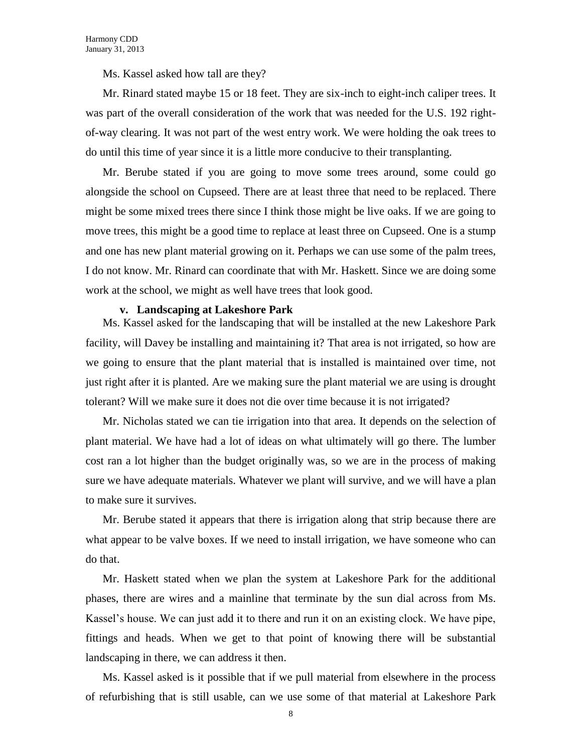Ms. Kassel asked how tall are they?

Mr. Rinard stated maybe 15 or 18 feet. They are six-inch to eight-inch caliper trees. It was part of the overall consideration of the work that was needed for the U.S. 192 rightof-way clearing. It was not part of the west entry work. We were holding the oak trees to do until this time of year since it is a little more conducive to their transplanting.

Mr. Berube stated if you are going to move some trees around, some could go alongside the school on Cupseed. There are at least three that need to be replaced. There might be some mixed trees there since I think those might be live oaks. If we are going to move trees, this might be a good time to replace at least three on Cupseed. One is a stump and one has new plant material growing on it. Perhaps we can use some of the palm trees, I do not know. Mr. Rinard can coordinate that with Mr. Haskett. Since we are doing some work at the school, we might as well have trees that look good.

### **v. Landscaping at Lakeshore Park**

Ms. Kassel asked for the landscaping that will be installed at the new Lakeshore Park facility, will Davey be installing and maintaining it? That area is not irrigated, so how are we going to ensure that the plant material that is installed is maintained over time, not just right after it is planted. Are we making sure the plant material we are using is drought tolerant? Will we make sure it does not die over time because it is not irrigated?

Mr. Nicholas stated we can tie irrigation into that area. It depends on the selection of plant material. We have had a lot of ideas on what ultimately will go there. The lumber cost ran a lot higher than the budget originally was, so we are in the process of making sure we have adequate materials. Whatever we plant will survive, and we will have a plan to make sure it survives.

Mr. Berube stated it appears that there is irrigation along that strip because there are what appear to be valve boxes. If we need to install irrigation, we have someone who can do that.

Mr. Haskett stated when we plan the system at Lakeshore Park for the additional phases, there are wires and a mainline that terminate by the sun dial across from Ms. Kassel's house. We can just add it to there and run it on an existing clock. We have pipe, fittings and heads. When we get to that point of knowing there will be substantial landscaping in there, we can address it then.

Ms. Kassel asked is it possible that if we pull material from elsewhere in the process of refurbishing that is still usable, can we use some of that material at Lakeshore Park

8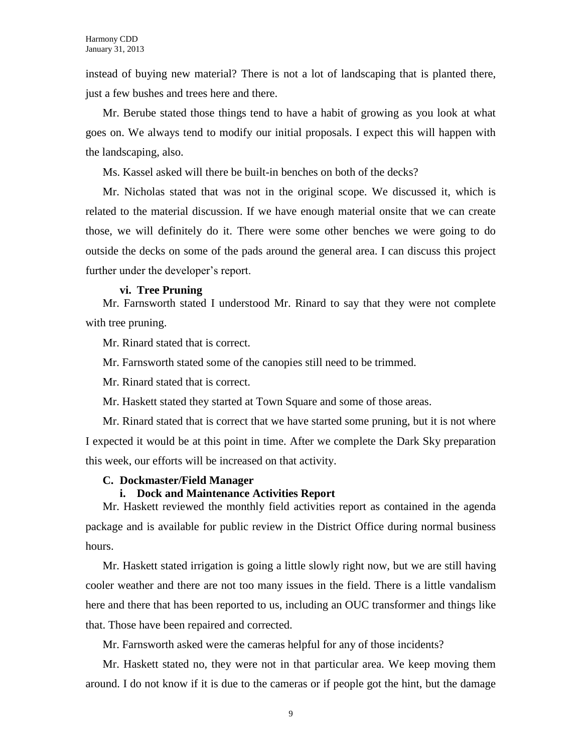instead of buying new material? There is not a lot of landscaping that is planted there, just a few bushes and trees here and there.

Mr. Berube stated those things tend to have a habit of growing as you look at what goes on. We always tend to modify our initial proposals. I expect this will happen with the landscaping, also.

Ms. Kassel asked will there be built-in benches on both of the decks?

Mr. Nicholas stated that was not in the original scope. We discussed it, which is related to the material discussion. If we have enough material onsite that we can create those, we will definitely do it. There were some other benches we were going to do outside the decks on some of the pads around the general area. I can discuss this project further under the developer's report.

### **vi. Tree Pruning**

Mr. Farnsworth stated I understood Mr. Rinard to say that they were not complete with tree pruning.

Mr. Rinard stated that is correct.

Mr. Farnsworth stated some of the canopies still need to be trimmed.

Mr. Rinard stated that is correct.

Mr. Haskett stated they started at Town Square and some of those areas.

Mr. Rinard stated that is correct that we have started some pruning, but it is not where I expected it would be at this point in time. After we complete the Dark Sky preparation this week, our efforts will be increased on that activity.

### **C. Dockmaster/Field Manager**

### **i. Dock and Maintenance Activities Report**

Mr. Haskett reviewed the monthly field activities report as contained in the agenda package and is available for public review in the District Office during normal business hours.

Mr. Haskett stated irrigation is going a little slowly right now, but we are still having cooler weather and there are not too many issues in the field. There is a little vandalism here and there that has been reported to us, including an OUC transformer and things like that. Those have been repaired and corrected.

Mr. Farnsworth asked were the cameras helpful for any of those incidents?

Mr. Haskett stated no, they were not in that particular area. We keep moving them around. I do not know if it is due to the cameras or if people got the hint, but the damage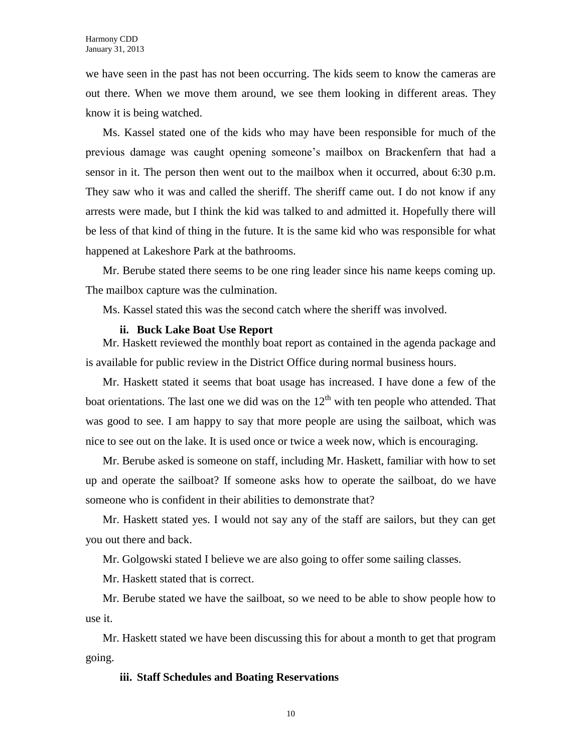we have seen in the past has not been occurring. The kids seem to know the cameras are out there. When we move them around, we see them looking in different areas. They know it is being watched.

Ms. Kassel stated one of the kids who may have been responsible for much of the previous damage was caught opening someone's mailbox on Brackenfern that had a sensor in it. The person then went out to the mailbox when it occurred, about 6:30 p.m. They saw who it was and called the sheriff. The sheriff came out. I do not know if any arrests were made, but I think the kid was talked to and admitted it. Hopefully there will be less of that kind of thing in the future. It is the same kid who was responsible for what happened at Lakeshore Park at the bathrooms.

Mr. Berube stated there seems to be one ring leader since his name keeps coming up. The mailbox capture was the culmination.

Ms. Kassel stated this was the second catch where the sheriff was involved.

### **ii. Buck Lake Boat Use Report**

Mr. Haskett reviewed the monthly boat report as contained in the agenda package and is available for public review in the District Office during normal business hours.

Mr. Haskett stated it seems that boat usage has increased. I have done a few of the boat orientations. The last one we did was on the  $12<sup>th</sup>$  with ten people who attended. That was good to see. I am happy to say that more people are using the sailboat, which was nice to see out on the lake. It is used once or twice a week now, which is encouraging.

Mr. Berube asked is someone on staff, including Mr. Haskett, familiar with how to set up and operate the sailboat? If someone asks how to operate the sailboat, do we have someone who is confident in their abilities to demonstrate that?

Mr. Haskett stated yes. I would not say any of the staff are sailors, but they can get you out there and back.

Mr. Golgowski stated I believe we are also going to offer some sailing classes.

Mr. Haskett stated that is correct.

Mr. Berube stated we have the sailboat, so we need to be able to show people how to use it.

Mr. Haskett stated we have been discussing this for about a month to get that program going.

### **iii. Staff Schedules and Boating Reservations**

10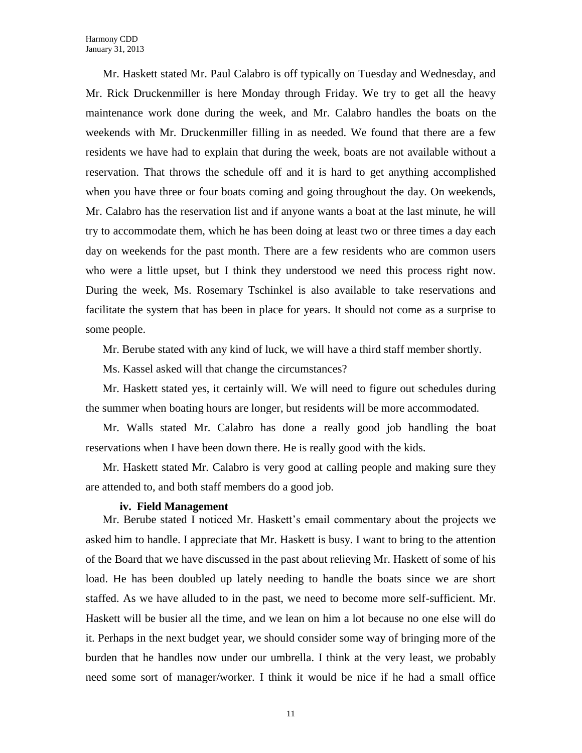Mr. Haskett stated Mr. Paul Calabro is off typically on Tuesday and Wednesday, and Mr. Rick Druckenmiller is here Monday through Friday. We try to get all the heavy maintenance work done during the week, and Mr. Calabro handles the boats on the weekends with Mr. Druckenmiller filling in as needed. We found that there are a few residents we have had to explain that during the week, boats are not available without a reservation. That throws the schedule off and it is hard to get anything accomplished when you have three or four boats coming and going throughout the day. On weekends, Mr. Calabro has the reservation list and if anyone wants a boat at the last minute, he will try to accommodate them, which he has been doing at least two or three times a day each day on weekends for the past month. There are a few residents who are common users who were a little upset, but I think they understood we need this process right now. During the week, Ms. Rosemary Tschinkel is also available to take reservations and facilitate the system that has been in place for years. It should not come as a surprise to some people.

Mr. Berube stated with any kind of luck, we will have a third staff member shortly.

Ms. Kassel asked will that change the circumstances?

Mr. Haskett stated yes, it certainly will. We will need to figure out schedules during the summer when boating hours are longer, but residents will be more accommodated.

Mr. Walls stated Mr. Calabro has done a really good job handling the boat reservations when I have been down there. He is really good with the kids.

Mr. Haskett stated Mr. Calabro is very good at calling people and making sure they are attended to, and both staff members do a good job.

### **iv. Field Management**

Mr. Berube stated I noticed Mr. Haskett's email commentary about the projects we asked him to handle. I appreciate that Mr. Haskett is busy. I want to bring to the attention of the Board that we have discussed in the past about relieving Mr. Haskett of some of his load. He has been doubled up lately needing to handle the boats since we are short staffed. As we have alluded to in the past, we need to become more self-sufficient. Mr. Haskett will be busier all the time, and we lean on him a lot because no one else will do it. Perhaps in the next budget year, we should consider some way of bringing more of the burden that he handles now under our umbrella. I think at the very least, we probably need some sort of manager/worker. I think it would be nice if he had a small office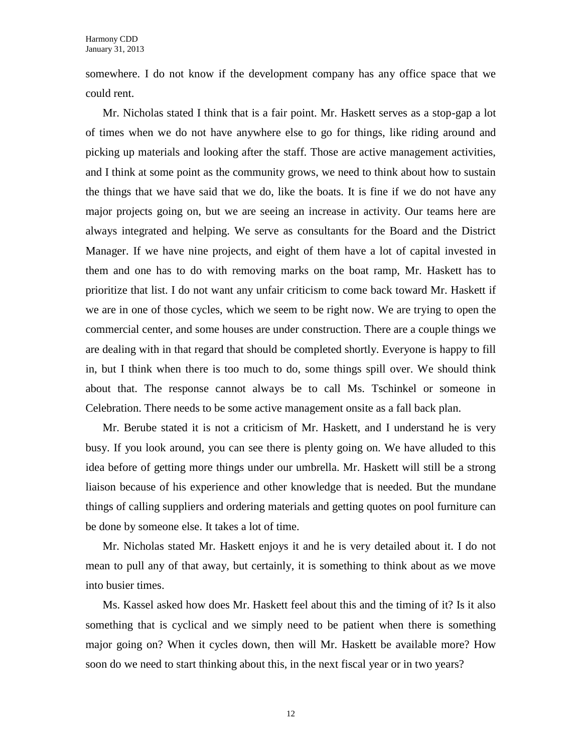somewhere. I do not know if the development company has any office space that we could rent.

Mr. Nicholas stated I think that is a fair point. Mr. Haskett serves as a stop-gap a lot of times when we do not have anywhere else to go for things, like riding around and picking up materials and looking after the staff. Those are active management activities, and I think at some point as the community grows, we need to think about how to sustain the things that we have said that we do, like the boats. It is fine if we do not have any major projects going on, but we are seeing an increase in activity. Our teams here are always integrated and helping. We serve as consultants for the Board and the District Manager. If we have nine projects, and eight of them have a lot of capital invested in them and one has to do with removing marks on the boat ramp, Mr. Haskett has to prioritize that list. I do not want any unfair criticism to come back toward Mr. Haskett if we are in one of those cycles, which we seem to be right now. We are trying to open the commercial center, and some houses are under construction. There are a couple things we are dealing with in that regard that should be completed shortly. Everyone is happy to fill in, but I think when there is too much to do, some things spill over. We should think about that. The response cannot always be to call Ms. Tschinkel or someone in Celebration. There needs to be some active management onsite as a fall back plan.

Mr. Berube stated it is not a criticism of Mr. Haskett, and I understand he is very busy. If you look around, you can see there is plenty going on. We have alluded to this idea before of getting more things under our umbrella. Mr. Haskett will still be a strong liaison because of his experience and other knowledge that is needed. But the mundane things of calling suppliers and ordering materials and getting quotes on pool furniture can be done by someone else. It takes a lot of time.

Mr. Nicholas stated Mr. Haskett enjoys it and he is very detailed about it. I do not mean to pull any of that away, but certainly, it is something to think about as we move into busier times.

Ms. Kassel asked how does Mr. Haskett feel about this and the timing of it? Is it also something that is cyclical and we simply need to be patient when there is something major going on? When it cycles down, then will Mr. Haskett be available more? How soon do we need to start thinking about this, in the next fiscal year or in two years?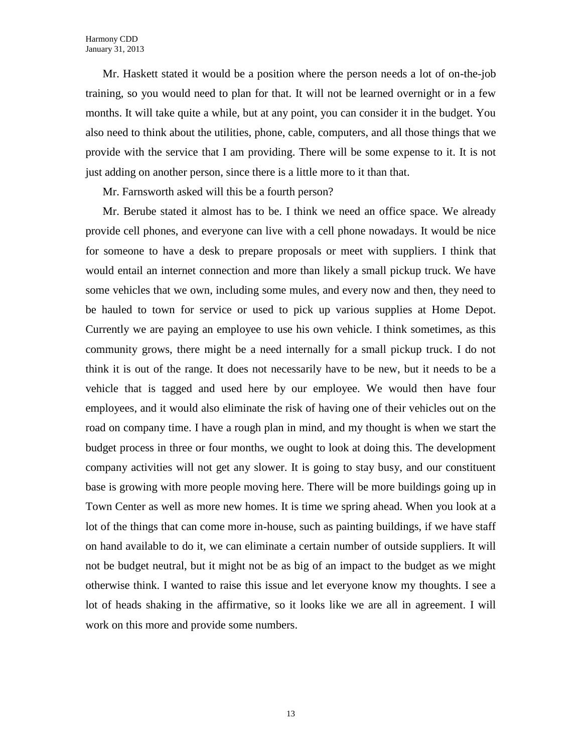Mr. Haskett stated it would be a position where the person needs a lot of on-the-job training, so you would need to plan for that. It will not be learned overnight or in a few months. It will take quite a while, but at any point, you can consider it in the budget. You also need to think about the utilities, phone, cable, computers, and all those things that we provide with the service that I am providing. There will be some expense to it. It is not just adding on another person, since there is a little more to it than that.

Mr. Farnsworth asked will this be a fourth person?

Mr. Berube stated it almost has to be. I think we need an office space. We already provide cell phones, and everyone can live with a cell phone nowadays. It would be nice for someone to have a desk to prepare proposals or meet with suppliers. I think that would entail an internet connection and more than likely a small pickup truck. We have some vehicles that we own, including some mules, and every now and then, they need to be hauled to town for service or used to pick up various supplies at Home Depot. Currently we are paying an employee to use his own vehicle. I think sometimes, as this community grows, there might be a need internally for a small pickup truck. I do not think it is out of the range. It does not necessarily have to be new, but it needs to be a vehicle that is tagged and used here by our employee. We would then have four employees, and it would also eliminate the risk of having one of their vehicles out on the road on company time. I have a rough plan in mind, and my thought is when we start the budget process in three or four months, we ought to look at doing this. The development company activities will not get any slower. It is going to stay busy, and our constituent base is growing with more people moving here. There will be more buildings going up in Town Center as well as more new homes. It is time we spring ahead. When you look at a lot of the things that can come more in-house, such as painting buildings, if we have staff on hand available to do it, we can eliminate a certain number of outside suppliers. It will not be budget neutral, but it might not be as big of an impact to the budget as we might otherwise think. I wanted to raise this issue and let everyone know my thoughts. I see a lot of heads shaking in the affirmative, so it looks like we are all in agreement. I will work on this more and provide some numbers.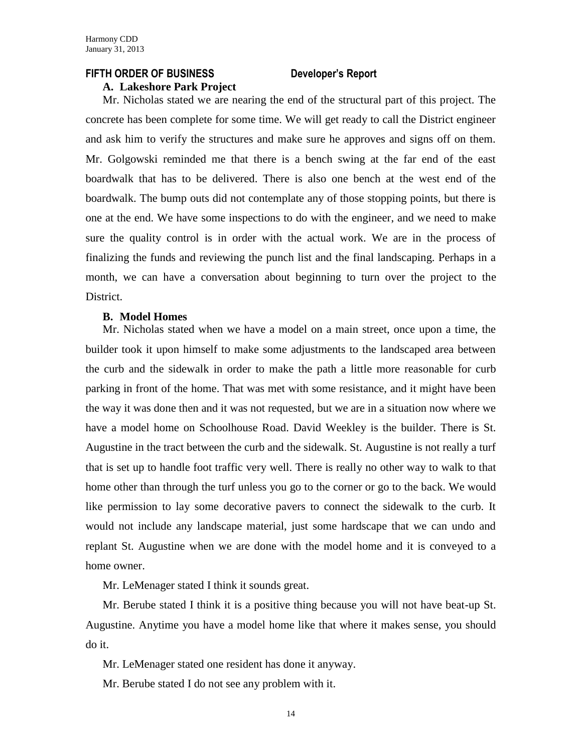### **FIFTH ORDER OF BUSINESS Developer's Report**

### **A. Lakeshore Park Project**

Mr. Nicholas stated we are nearing the end of the structural part of this project. The concrete has been complete for some time. We will get ready to call the District engineer and ask him to verify the structures and make sure he approves and signs off on them. Mr. Golgowski reminded me that there is a bench swing at the far end of the east boardwalk that has to be delivered. There is also one bench at the west end of the boardwalk. The bump outs did not contemplate any of those stopping points, but there is one at the end. We have some inspections to do with the engineer, and we need to make sure the quality control is in order with the actual work. We are in the process of finalizing the funds and reviewing the punch list and the final landscaping. Perhaps in a month, we can have a conversation about beginning to turn over the project to the District.

### **B. Model Homes**

Mr. Nicholas stated when we have a model on a main street, once upon a time, the builder took it upon himself to make some adjustments to the landscaped area between the curb and the sidewalk in order to make the path a little more reasonable for curb parking in front of the home. That was met with some resistance, and it might have been the way it was done then and it was not requested, but we are in a situation now where we have a model home on Schoolhouse Road. David Weekley is the builder. There is St. Augustine in the tract between the curb and the sidewalk. St. Augustine is not really a turf that is set up to handle foot traffic very well. There is really no other way to walk to that home other than through the turf unless you go to the corner or go to the back. We would like permission to lay some decorative pavers to connect the sidewalk to the curb. It would not include any landscape material, just some hardscape that we can undo and replant St. Augustine when we are done with the model home and it is conveyed to a home owner.

Mr. LeMenager stated I think it sounds great.

Mr. Berube stated I think it is a positive thing because you will not have beat-up St. Augustine. Anytime you have a model home like that where it makes sense, you should do it.

Mr. LeMenager stated one resident has done it anyway.

Mr. Berube stated I do not see any problem with it.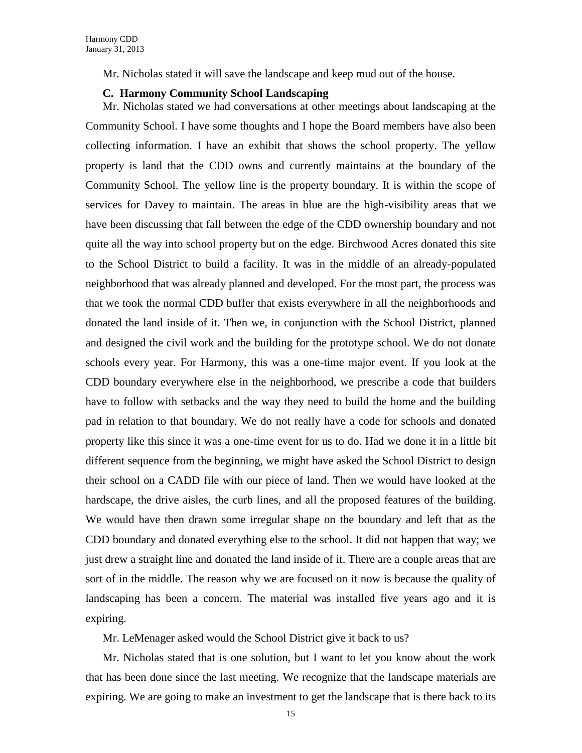Mr. Nicholas stated it will save the landscape and keep mud out of the house.

### **C. Harmony Community School Landscaping**

Mr. Nicholas stated we had conversations at other meetings about landscaping at the Community School. I have some thoughts and I hope the Board members have also been collecting information. I have an exhibit that shows the school property. The yellow property is land that the CDD owns and currently maintains at the boundary of the Community School. The yellow line is the property boundary. It is within the scope of services for Davey to maintain. The areas in blue are the high-visibility areas that we have been discussing that fall between the edge of the CDD ownership boundary and not quite all the way into school property but on the edge. Birchwood Acres donated this site to the School District to build a facility. It was in the middle of an already-populated neighborhood that was already planned and developed. For the most part, the process was that we took the normal CDD buffer that exists everywhere in all the neighborhoods and donated the land inside of it. Then we, in conjunction with the School District, planned and designed the civil work and the building for the prototype school. We do not donate schools every year. For Harmony, this was a one-time major event. If you look at the CDD boundary everywhere else in the neighborhood, we prescribe a code that builders have to follow with setbacks and the way they need to build the home and the building pad in relation to that boundary. We do not really have a code for schools and donated property like this since it was a one-time event for us to do. Had we done it in a little bit different sequence from the beginning, we might have asked the School District to design their school on a CADD file with our piece of land. Then we would have looked at the hardscape, the drive aisles, the curb lines, and all the proposed features of the building. We would have then drawn some irregular shape on the boundary and left that as the CDD boundary and donated everything else to the school. It did not happen that way; we just drew a straight line and donated the land inside of it. There are a couple areas that are sort of in the middle. The reason why we are focused on it now is because the quality of landscaping has been a concern. The material was installed five years ago and it is expiring.

Mr. LeMenager asked would the School District give it back to us?

Mr. Nicholas stated that is one solution, but I want to let you know about the work that has been done since the last meeting. We recognize that the landscape materials are expiring. We are going to make an investment to get the landscape that is there back to its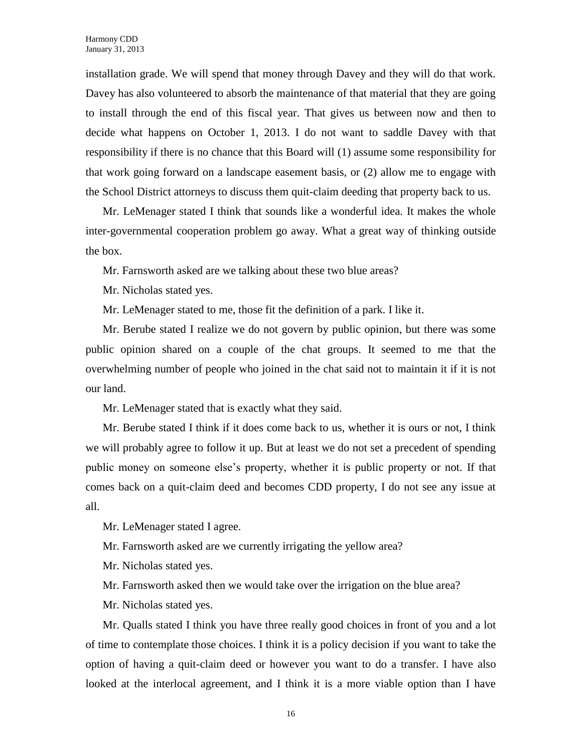installation grade. We will spend that money through Davey and they will do that work. Davey has also volunteered to absorb the maintenance of that material that they are going to install through the end of this fiscal year. That gives us between now and then to decide what happens on October 1, 2013. I do not want to saddle Davey with that responsibility if there is no chance that this Board will (1) assume some responsibility for that work going forward on a landscape easement basis, or (2) allow me to engage with the School District attorneys to discuss them quit-claim deeding that property back to us.

Mr. LeMenager stated I think that sounds like a wonderful idea. It makes the whole inter-governmental cooperation problem go away. What a great way of thinking outside the box.

Mr. Farnsworth asked are we talking about these two blue areas?

Mr. Nicholas stated yes.

Mr. LeMenager stated to me, those fit the definition of a park. I like it.

Mr. Berube stated I realize we do not govern by public opinion, but there was some public opinion shared on a couple of the chat groups. It seemed to me that the overwhelming number of people who joined in the chat said not to maintain it if it is not our land.

Mr. LeMenager stated that is exactly what they said.

Mr. Berube stated I think if it does come back to us, whether it is ours or not, I think we will probably agree to follow it up. But at least we do not set a precedent of spending public money on someone else's property, whether it is public property or not. If that comes back on a quit-claim deed and becomes CDD property, I do not see any issue at all.

Mr. LeMenager stated I agree.

Mr. Farnsworth asked are we currently irrigating the yellow area?

Mr. Nicholas stated yes.

Mr. Farnsworth asked then we would take over the irrigation on the blue area?

Mr. Nicholas stated yes.

Mr. Qualls stated I think you have three really good choices in front of you and a lot of time to contemplate those choices. I think it is a policy decision if you want to take the option of having a quit-claim deed or however you want to do a transfer. I have also looked at the interlocal agreement, and I think it is a more viable option than I have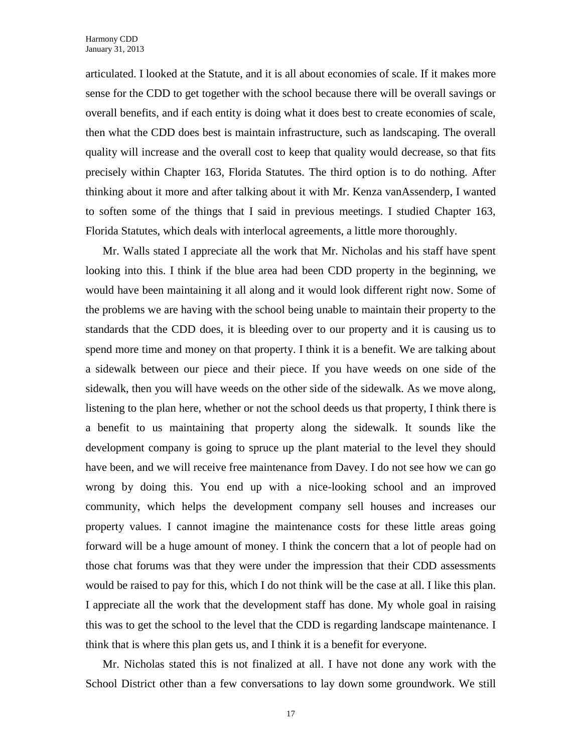articulated. I looked at the Statute, and it is all about economies of scale. If it makes more sense for the CDD to get together with the school because there will be overall savings or overall benefits, and if each entity is doing what it does best to create economies of scale, then what the CDD does best is maintain infrastructure, such as landscaping. The overall quality will increase and the overall cost to keep that quality would decrease, so that fits precisely within Chapter 163, Florida Statutes. The third option is to do nothing. After thinking about it more and after talking about it with Mr. Kenza vanAssenderp, I wanted to soften some of the things that I said in previous meetings. I studied Chapter 163, Florida Statutes, which deals with interlocal agreements, a little more thoroughly.

Mr. Walls stated I appreciate all the work that Mr. Nicholas and his staff have spent looking into this. I think if the blue area had been CDD property in the beginning, we would have been maintaining it all along and it would look different right now. Some of the problems we are having with the school being unable to maintain their property to the standards that the CDD does, it is bleeding over to our property and it is causing us to spend more time and money on that property. I think it is a benefit. We are talking about a sidewalk between our piece and their piece. If you have weeds on one side of the sidewalk, then you will have weeds on the other side of the sidewalk. As we move along, listening to the plan here, whether or not the school deeds us that property, I think there is a benefit to us maintaining that property along the sidewalk. It sounds like the development company is going to spruce up the plant material to the level they should have been, and we will receive free maintenance from Davey. I do not see how we can go wrong by doing this. You end up with a nice-looking school and an improved community, which helps the development company sell houses and increases our property values. I cannot imagine the maintenance costs for these little areas going forward will be a huge amount of money. I think the concern that a lot of people had on those chat forums was that they were under the impression that their CDD assessments would be raised to pay for this, which I do not think will be the case at all. I like this plan. I appreciate all the work that the development staff has done. My whole goal in raising this was to get the school to the level that the CDD is regarding landscape maintenance. I think that is where this plan gets us, and I think it is a benefit for everyone.

Mr. Nicholas stated this is not finalized at all. I have not done any work with the School District other than a few conversations to lay down some groundwork. We still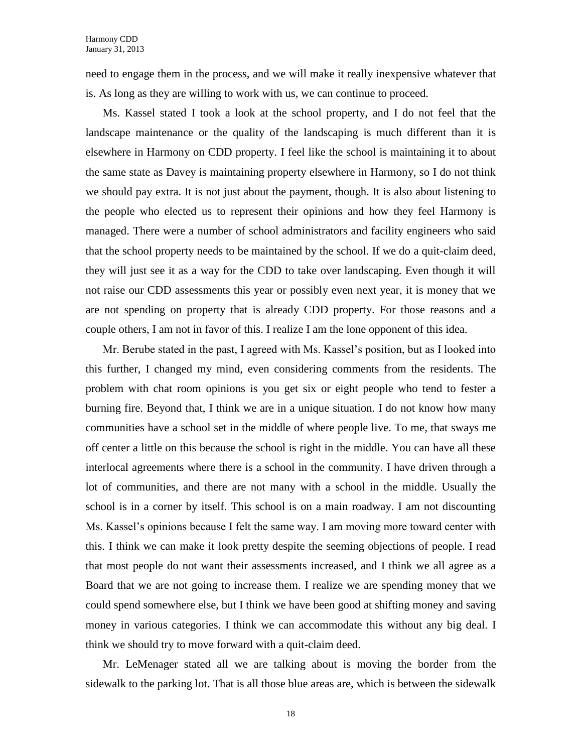need to engage them in the process, and we will make it really inexpensive whatever that is. As long as they are willing to work with us, we can continue to proceed.

Ms. Kassel stated I took a look at the school property, and I do not feel that the landscape maintenance or the quality of the landscaping is much different than it is elsewhere in Harmony on CDD property. I feel like the school is maintaining it to about the same state as Davey is maintaining property elsewhere in Harmony, so I do not think we should pay extra. It is not just about the payment, though. It is also about listening to the people who elected us to represent their opinions and how they feel Harmony is managed. There were a number of school administrators and facility engineers who said that the school property needs to be maintained by the school. If we do a quit-claim deed, they will just see it as a way for the CDD to take over landscaping. Even though it will not raise our CDD assessments this year or possibly even next year, it is money that we are not spending on property that is already CDD property. For those reasons and a couple others, I am not in favor of this. I realize I am the lone opponent of this idea.

Mr. Berube stated in the past, I agreed with Ms. Kassel's position, but as I looked into this further, I changed my mind, even considering comments from the residents. The problem with chat room opinions is you get six or eight people who tend to fester a burning fire. Beyond that, I think we are in a unique situation. I do not know how many communities have a school set in the middle of where people live. To me, that sways me off center a little on this because the school is right in the middle. You can have all these interlocal agreements where there is a school in the community. I have driven through a lot of communities, and there are not many with a school in the middle. Usually the school is in a corner by itself. This school is on a main roadway. I am not discounting Ms. Kassel's opinions because I felt the same way. I am moving more toward center with this. I think we can make it look pretty despite the seeming objections of people. I read that most people do not want their assessments increased, and I think we all agree as a Board that we are not going to increase them. I realize we are spending money that we could spend somewhere else, but I think we have been good at shifting money and saving money in various categories. I think we can accommodate this without any big deal. I think we should try to move forward with a quit-claim deed.

Mr. LeMenager stated all we are talking about is moving the border from the sidewalk to the parking lot. That is all those blue areas are, which is between the sidewalk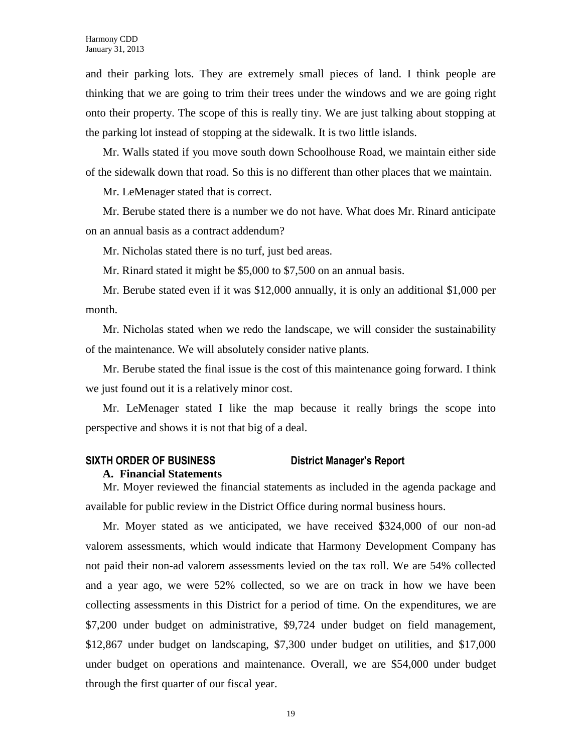and their parking lots. They are extremely small pieces of land. I think people are thinking that we are going to trim their trees under the windows and we are going right onto their property. The scope of this is really tiny. We are just talking about stopping at the parking lot instead of stopping at the sidewalk. It is two little islands.

Mr. Walls stated if you move south down Schoolhouse Road, we maintain either side of the sidewalk down that road. So this is no different than other places that we maintain.

Mr. LeMenager stated that is correct.

Mr. Berube stated there is a number we do not have. What does Mr. Rinard anticipate on an annual basis as a contract addendum?

Mr. Nicholas stated there is no turf, just bed areas.

Mr. Rinard stated it might be \$5,000 to \$7,500 on an annual basis.

Mr. Berube stated even if it was \$12,000 annually, it is only an additional \$1,000 per month.

Mr. Nicholas stated when we redo the landscape, we will consider the sustainability of the maintenance. We will absolutely consider native plants.

Mr. Berube stated the final issue is the cost of this maintenance going forward. I think we just found out it is a relatively minor cost.

Mr. LeMenager stated I like the map because it really brings the scope into perspective and shows it is not that big of a deal.

## **SIXTH ORDER OF BUSINESS District Manager's Report**

### **A. Financial Statements**

Mr. Moyer reviewed the financial statements as included in the agenda package and available for public review in the District Office during normal business hours.

Mr. Moyer stated as we anticipated, we have received \$324,000 of our non-ad valorem assessments, which would indicate that Harmony Development Company has not paid their non-ad valorem assessments levied on the tax roll. We are 54% collected and a year ago, we were 52% collected, so we are on track in how we have been collecting assessments in this District for a period of time. On the expenditures, we are \$7,200 under budget on administrative, \$9,724 under budget on field management, \$12,867 under budget on landscaping, \$7,300 under budget on utilities, and \$17,000 under budget on operations and maintenance. Overall, we are \$54,000 under budget through the first quarter of our fiscal year.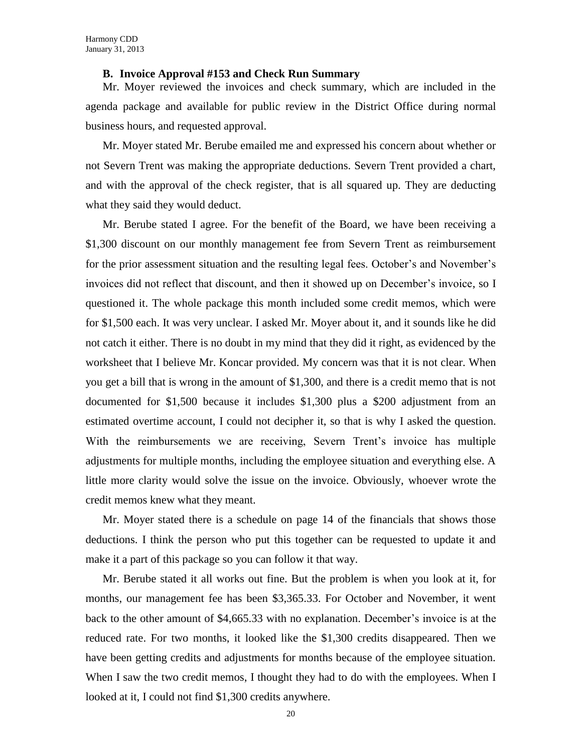### **B. Invoice Approval #153 and Check Run Summary**

Mr. Moyer reviewed the invoices and check summary, which are included in the agenda package and available for public review in the District Office during normal business hours, and requested approval.

Mr. Moyer stated Mr. Berube emailed me and expressed his concern about whether or not Severn Trent was making the appropriate deductions. Severn Trent provided a chart, and with the approval of the check register, that is all squared up. They are deducting what they said they would deduct.

Mr. Berube stated I agree. For the benefit of the Board, we have been receiving a \$1,300 discount on our monthly management fee from Severn Trent as reimbursement for the prior assessment situation and the resulting legal fees. October's and November's invoices did not reflect that discount, and then it showed up on December's invoice, so I questioned it. The whole package this month included some credit memos, which were for \$1,500 each. It was very unclear. I asked Mr. Moyer about it, and it sounds like he did not catch it either. There is no doubt in my mind that they did it right, as evidenced by the worksheet that I believe Mr. Koncar provided. My concern was that it is not clear. When you get a bill that is wrong in the amount of \$1,300, and there is a credit memo that is not documented for \$1,500 because it includes \$1,300 plus a \$200 adjustment from an estimated overtime account, I could not decipher it, so that is why I asked the question. With the reimbursements we are receiving, Severn Trent's invoice has multiple adjustments for multiple months, including the employee situation and everything else. A little more clarity would solve the issue on the invoice. Obviously, whoever wrote the credit memos knew what they meant.

Mr. Moyer stated there is a schedule on page 14 of the financials that shows those deductions. I think the person who put this together can be requested to update it and make it a part of this package so you can follow it that way.

Mr. Berube stated it all works out fine. But the problem is when you look at it, for months, our management fee has been \$3,365.33. For October and November, it went back to the other amount of \$4,665.33 with no explanation. December's invoice is at the reduced rate. For two months, it looked like the \$1,300 credits disappeared. Then we have been getting credits and adjustments for months because of the employee situation. When I saw the two credit memos, I thought they had to do with the employees. When I looked at it, I could not find \$1,300 credits anywhere.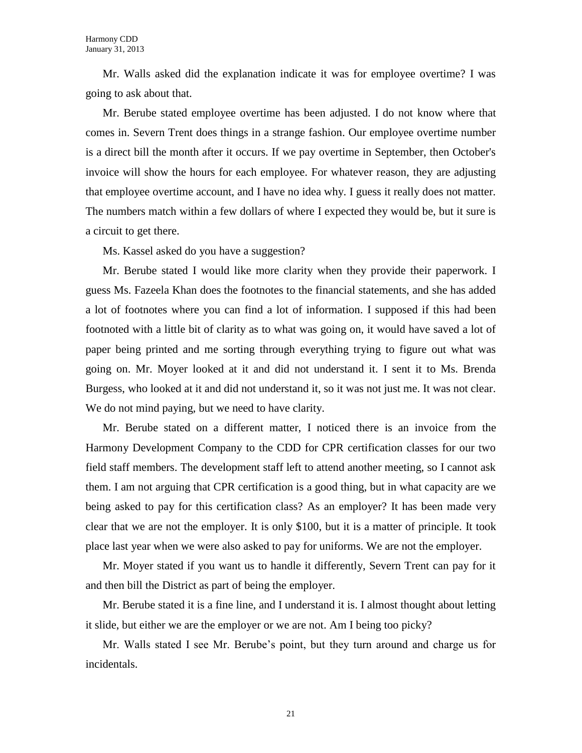Mr. Walls asked did the explanation indicate it was for employee overtime? I was going to ask about that.

Mr. Berube stated employee overtime has been adjusted. I do not know where that comes in. Severn Trent does things in a strange fashion. Our employee overtime number is a direct bill the month after it occurs. If we pay overtime in September, then October's invoice will show the hours for each employee. For whatever reason, they are adjusting that employee overtime account, and I have no idea why. I guess it really does not matter. The numbers match within a few dollars of where I expected they would be, but it sure is a circuit to get there.

Ms. Kassel asked do you have a suggestion?

Mr. Berube stated I would like more clarity when they provide their paperwork. I guess Ms. Fazeela Khan does the footnotes to the financial statements, and she has added a lot of footnotes where you can find a lot of information. I supposed if this had been footnoted with a little bit of clarity as to what was going on, it would have saved a lot of paper being printed and me sorting through everything trying to figure out what was going on. Mr. Moyer looked at it and did not understand it. I sent it to Ms. Brenda Burgess, who looked at it and did not understand it, so it was not just me. It was not clear. We do not mind paying, but we need to have clarity.

Mr. Berube stated on a different matter, I noticed there is an invoice from the Harmony Development Company to the CDD for CPR certification classes for our two field staff members. The development staff left to attend another meeting, so I cannot ask them. I am not arguing that CPR certification is a good thing, but in what capacity are we being asked to pay for this certification class? As an employer? It has been made very clear that we are not the employer. It is only \$100, but it is a matter of principle. It took place last year when we were also asked to pay for uniforms. We are not the employer.

Mr. Moyer stated if you want us to handle it differently, Severn Trent can pay for it and then bill the District as part of being the employer.

Mr. Berube stated it is a fine line, and I understand it is. I almost thought about letting it slide, but either we are the employer or we are not. Am I being too picky?

Mr. Walls stated I see Mr. Berube's point, but they turn around and charge us for incidentals.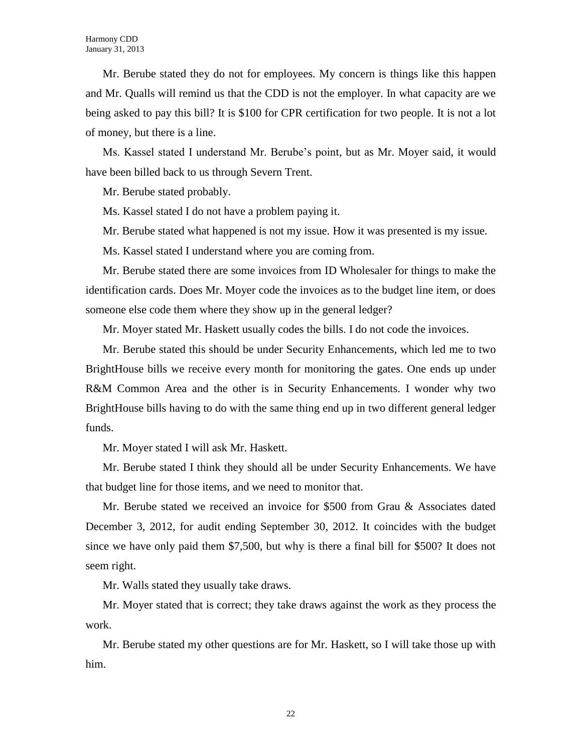Mr. Berube stated they do not for employees. My concern is things like this happen and Mr. Qualls will remind us that the CDD is not the employer. In what capacity are we being asked to pay this bill? It is \$100 for CPR certification for two people. It is not a lot of money, but there is a line.

Ms. Kassel stated I understand Mr. Berube's point, but as Mr. Moyer said, it would have been billed back to us through Severn Trent.

Mr. Berube stated probably.

Ms. Kassel stated I do not have a problem paying it.

Mr. Berube stated what happened is not my issue. How it was presented is my issue.

Ms. Kassel stated I understand where you are coming from.

Mr. Berube stated there are some invoices from ID Wholesaler for things to make the identification cards. Does Mr. Moyer code the invoices as to the budget line item, or does someone else code them where they show up in the general ledger?

Mr. Moyer stated Mr. Haskett usually codes the bills. I do not code the invoices.

Mr. Berube stated this should be under Security Enhancements, which led me to two BrightHouse bills we receive every month for monitoring the gates. One ends up under R&M Common Area and the other is in Security Enhancements. I wonder why two BrightHouse bills having to do with the same thing end up in two different general ledger funds.

Mr. Moyer stated I will ask Mr. Haskett.

Mr. Berube stated I think they should all be under Security Enhancements. We have that budget line for those items, and we need to monitor that.

Mr. Berube stated we received an invoice for \$500 from Grau & Associates dated December 3, 2012, for audit ending September 30, 2012. It coincides with the budget since we have only paid them \$7,500, but why is there a final bill for \$500? It does not seem right.

Mr. Walls stated they usually take draws.

Mr. Moyer stated that is correct; they take draws against the work as they process the work.

Mr. Berube stated my other questions are for Mr. Haskett, so I will take those up with him.

22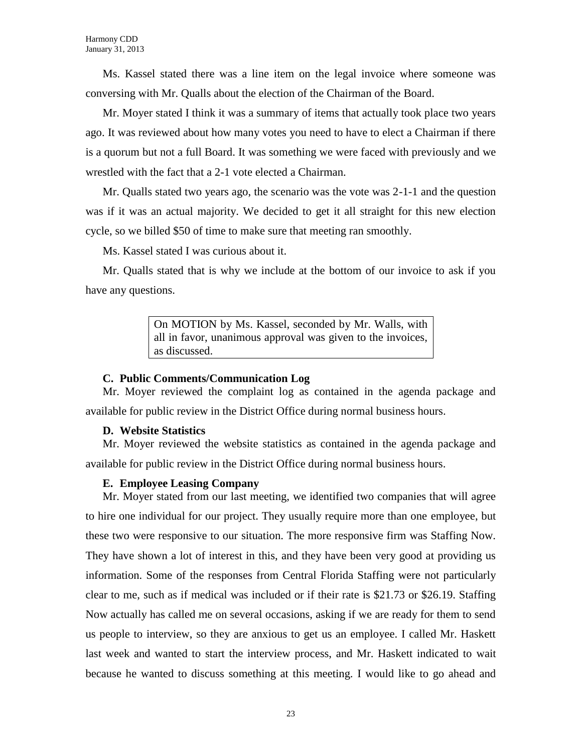Ms. Kassel stated there was a line item on the legal invoice where someone was conversing with Mr. Qualls about the election of the Chairman of the Board.

Mr. Moyer stated I think it was a summary of items that actually took place two years ago. It was reviewed about how many votes you need to have to elect a Chairman if there is a quorum but not a full Board. It was something we were faced with previously and we wrestled with the fact that a 2-1 vote elected a Chairman.

Mr. Qualls stated two years ago, the scenario was the vote was 2-1-1 and the question was if it was an actual majority. We decided to get it all straight for this new election cycle, so we billed \$50 of time to make sure that meeting ran smoothly.

Ms. Kassel stated I was curious about it.

Mr. Qualls stated that is why we include at the bottom of our invoice to ask if you have any questions.

> On MOTION by Ms. Kassel, seconded by Mr. Walls, with all in favor, unanimous approval was given to the invoices, as discussed.

### **C. Public Comments/Communication Log**

Mr. Moyer reviewed the complaint log as contained in the agenda package and available for public review in the District Office during normal business hours.

### **D. Website Statistics**

Mr. Moyer reviewed the website statistics as contained in the agenda package and available for public review in the District Office during normal business hours.

### **E. Employee Leasing Company**

Mr. Moyer stated from our last meeting, we identified two companies that will agree to hire one individual for our project. They usually require more than one employee, but these two were responsive to our situation. The more responsive firm was Staffing Now. They have shown a lot of interest in this, and they have been very good at providing us information. Some of the responses from Central Florida Staffing were not particularly clear to me, such as if medical was included or if their rate is \$21.73 or \$26.19. Staffing Now actually has called me on several occasions, asking if we are ready for them to send us people to interview, so they are anxious to get us an employee. I called Mr. Haskett last week and wanted to start the interview process, and Mr. Haskett indicated to wait because he wanted to discuss something at this meeting. I would like to go ahead and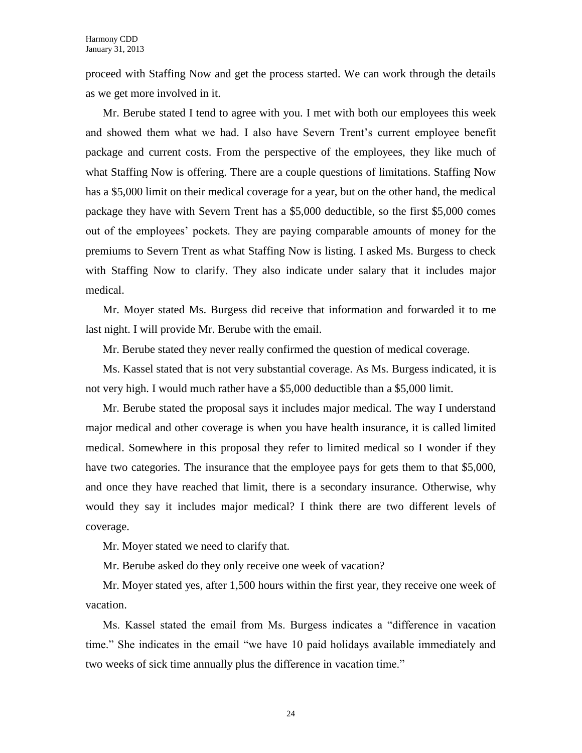proceed with Staffing Now and get the process started. We can work through the details as we get more involved in it.

Mr. Berube stated I tend to agree with you. I met with both our employees this week and showed them what we had. I also have Severn Trent's current employee benefit package and current costs. From the perspective of the employees, they like much of what Staffing Now is offering. There are a couple questions of limitations. Staffing Now has a \$5,000 limit on their medical coverage for a year, but on the other hand, the medical package they have with Severn Trent has a \$5,000 deductible, so the first \$5,000 comes out of the employees' pockets. They are paying comparable amounts of money for the premiums to Severn Trent as what Staffing Now is listing. I asked Ms. Burgess to check with Staffing Now to clarify. They also indicate under salary that it includes major medical.

Mr. Moyer stated Ms. Burgess did receive that information and forwarded it to me last night. I will provide Mr. Berube with the email.

Mr. Berube stated they never really confirmed the question of medical coverage.

Ms. Kassel stated that is not very substantial coverage. As Ms. Burgess indicated, it is not very high. I would much rather have a \$5,000 deductible than a \$5,000 limit.

Mr. Berube stated the proposal says it includes major medical. The way I understand major medical and other coverage is when you have health insurance, it is called limited medical. Somewhere in this proposal they refer to limited medical so I wonder if they have two categories. The insurance that the employee pays for gets them to that \$5,000, and once they have reached that limit, there is a secondary insurance. Otherwise, why would they say it includes major medical? I think there are two different levels of coverage.

Mr. Moyer stated we need to clarify that.

Mr. Berube asked do they only receive one week of vacation?

Mr. Moyer stated yes, after 1,500 hours within the first year, they receive one week of vacation.

Ms. Kassel stated the email from Ms. Burgess indicates a "difference in vacation time." She indicates in the email "we have 10 paid holidays available immediately and two weeks of sick time annually plus the difference in vacation time."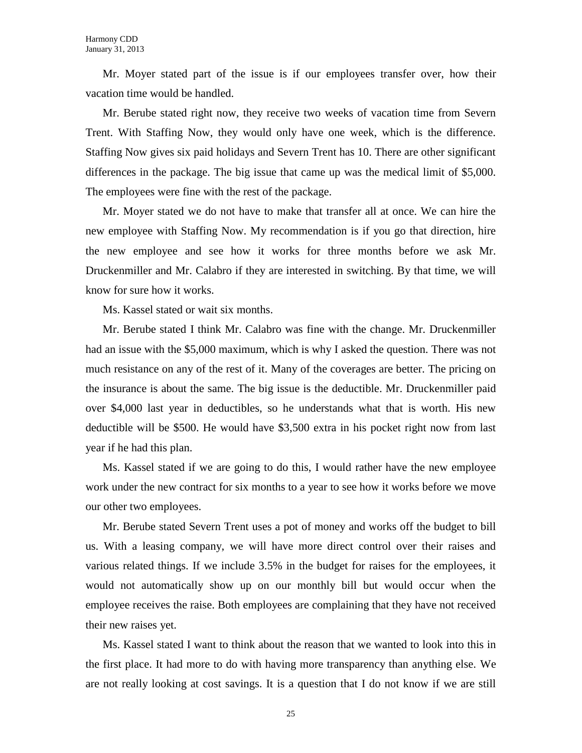Mr. Moyer stated part of the issue is if our employees transfer over, how their vacation time would be handled.

Mr. Berube stated right now, they receive two weeks of vacation time from Severn Trent. With Staffing Now, they would only have one week, which is the difference. Staffing Now gives six paid holidays and Severn Trent has 10. There are other significant differences in the package. The big issue that came up was the medical limit of \$5,000. The employees were fine with the rest of the package.

Mr. Moyer stated we do not have to make that transfer all at once. We can hire the new employee with Staffing Now. My recommendation is if you go that direction, hire the new employee and see how it works for three months before we ask Mr. Druckenmiller and Mr. Calabro if they are interested in switching. By that time, we will know for sure how it works.

Ms. Kassel stated or wait six months.

Mr. Berube stated I think Mr. Calabro was fine with the change. Mr. Druckenmiller had an issue with the \$5,000 maximum, which is why I asked the question. There was not much resistance on any of the rest of it. Many of the coverages are better. The pricing on the insurance is about the same. The big issue is the deductible. Mr. Druckenmiller paid over \$4,000 last year in deductibles, so he understands what that is worth. His new deductible will be \$500. He would have \$3,500 extra in his pocket right now from last year if he had this plan.

Ms. Kassel stated if we are going to do this, I would rather have the new employee work under the new contract for six months to a year to see how it works before we move our other two employees.

Mr. Berube stated Severn Trent uses a pot of money and works off the budget to bill us. With a leasing company, we will have more direct control over their raises and various related things. If we include 3.5% in the budget for raises for the employees, it would not automatically show up on our monthly bill but would occur when the employee receives the raise. Both employees are complaining that they have not received their new raises yet.

Ms. Kassel stated I want to think about the reason that we wanted to look into this in the first place. It had more to do with having more transparency than anything else. We are not really looking at cost savings. It is a question that I do not know if we are still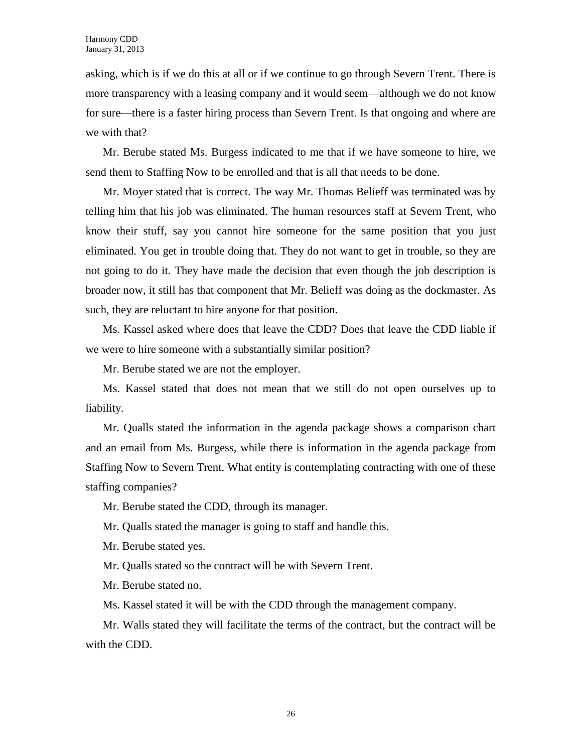asking, which is if we do this at all or if we continue to go through Severn Trent. There is more transparency with a leasing company and it would seem—although we do not know for sure—there is a faster hiring process than Severn Trent. Is that ongoing and where are we with that?

Mr. Berube stated Ms. Burgess indicated to me that if we have someone to hire, we send them to Staffing Now to be enrolled and that is all that needs to be done.

Mr. Moyer stated that is correct. The way Mr. Thomas Belieff was terminated was by telling him that his job was eliminated. The human resources staff at Severn Trent, who know their stuff, say you cannot hire someone for the same position that you just eliminated. You get in trouble doing that. They do not want to get in trouble, so they are not going to do it. They have made the decision that even though the job description is broader now, it still has that component that Mr. Belieff was doing as the dockmaster. As such, they are reluctant to hire anyone for that position.

Ms. Kassel asked where does that leave the CDD? Does that leave the CDD liable if we were to hire someone with a substantially similar position?

Mr. Berube stated we are not the employer.

Ms. Kassel stated that does not mean that we still do not open ourselves up to liability.

Mr. Qualls stated the information in the agenda package shows a comparison chart and an email from Ms. Burgess, while there is information in the agenda package from Staffing Now to Severn Trent. What entity is contemplating contracting with one of these staffing companies?

Mr. Berube stated the CDD, through its manager.

Mr. Qualls stated the manager is going to staff and handle this.

Mr. Berube stated yes.

Mr. Qualls stated so the contract will be with Severn Trent.

Mr. Berube stated no.

Ms. Kassel stated it will be with the CDD through the management company.

Mr. Walls stated they will facilitate the terms of the contract, but the contract will be with the CDD.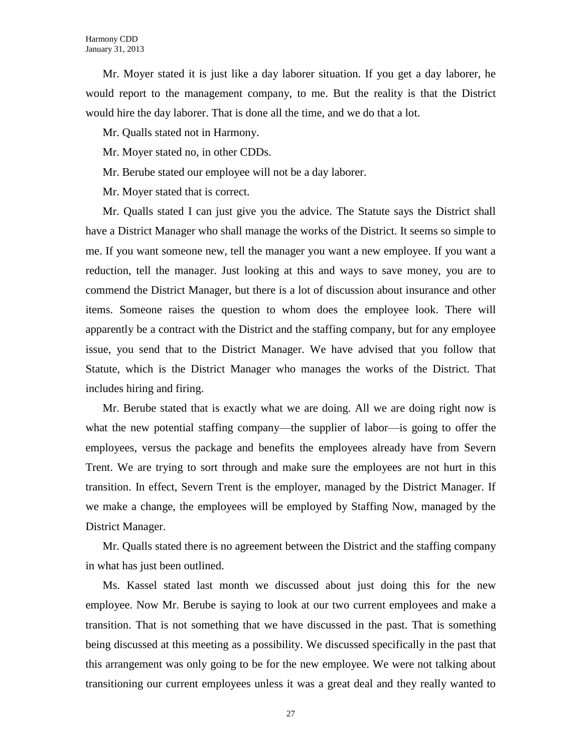Mr. Moyer stated it is just like a day laborer situation. If you get a day laborer, he would report to the management company, to me. But the reality is that the District would hire the day laborer. That is done all the time, and we do that a lot.

Mr. Qualls stated not in Harmony.

Mr. Moyer stated no, in other CDDs.

Mr. Berube stated our employee will not be a day laborer.

Mr. Moyer stated that is correct.

Mr. Qualls stated I can just give you the advice. The Statute says the District shall have a District Manager who shall manage the works of the District. It seems so simple to me. If you want someone new, tell the manager you want a new employee. If you want a reduction, tell the manager. Just looking at this and ways to save money, you are to commend the District Manager, but there is a lot of discussion about insurance and other items. Someone raises the question to whom does the employee look. There will apparently be a contract with the District and the staffing company, but for any employee issue, you send that to the District Manager. We have advised that you follow that Statute, which is the District Manager who manages the works of the District. That includes hiring and firing.

Mr. Berube stated that is exactly what we are doing. All we are doing right now is what the new potential staffing company—the supplier of labor—is going to offer the employees, versus the package and benefits the employees already have from Severn Trent. We are trying to sort through and make sure the employees are not hurt in this transition. In effect, Severn Trent is the employer, managed by the District Manager. If we make a change, the employees will be employed by Staffing Now, managed by the District Manager.

Mr. Qualls stated there is no agreement between the District and the staffing company in what has just been outlined.

Ms. Kassel stated last month we discussed about just doing this for the new employee. Now Mr. Berube is saying to look at our two current employees and make a transition. That is not something that we have discussed in the past. That is something being discussed at this meeting as a possibility. We discussed specifically in the past that this arrangement was only going to be for the new employee. We were not talking about transitioning our current employees unless it was a great deal and they really wanted to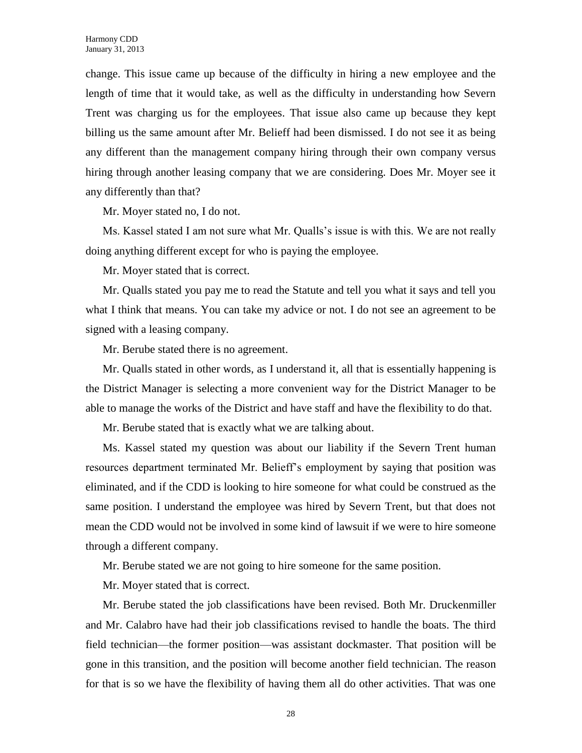change. This issue came up because of the difficulty in hiring a new employee and the length of time that it would take, as well as the difficulty in understanding how Severn Trent was charging us for the employees. That issue also came up because they kept billing us the same amount after Mr. Belieff had been dismissed. I do not see it as being any different than the management company hiring through their own company versus hiring through another leasing company that we are considering. Does Mr. Moyer see it any differently than that?

Mr. Moyer stated no, I do not.

Ms. Kassel stated I am not sure what Mr. Qualls's issue is with this. We are not really doing anything different except for who is paying the employee.

Mr. Moyer stated that is correct.

Mr. Qualls stated you pay me to read the Statute and tell you what it says and tell you what I think that means. You can take my advice or not. I do not see an agreement to be signed with a leasing company.

Mr. Berube stated there is no agreement.

Mr. Qualls stated in other words, as I understand it, all that is essentially happening is the District Manager is selecting a more convenient way for the District Manager to be able to manage the works of the District and have staff and have the flexibility to do that.

Mr. Berube stated that is exactly what we are talking about.

Ms. Kassel stated my question was about our liability if the Severn Trent human resources department terminated Mr. Belieff's employment by saying that position was eliminated, and if the CDD is looking to hire someone for what could be construed as the same position. I understand the employee was hired by Severn Trent, but that does not mean the CDD would not be involved in some kind of lawsuit if we were to hire someone through a different company.

Mr. Berube stated we are not going to hire someone for the same position.

Mr. Moyer stated that is correct.

Mr. Berube stated the job classifications have been revised. Both Mr. Druckenmiller and Mr. Calabro have had their job classifications revised to handle the boats. The third field technician—the former position—was assistant dockmaster. That position will be gone in this transition, and the position will become another field technician. The reason for that is so we have the flexibility of having them all do other activities. That was one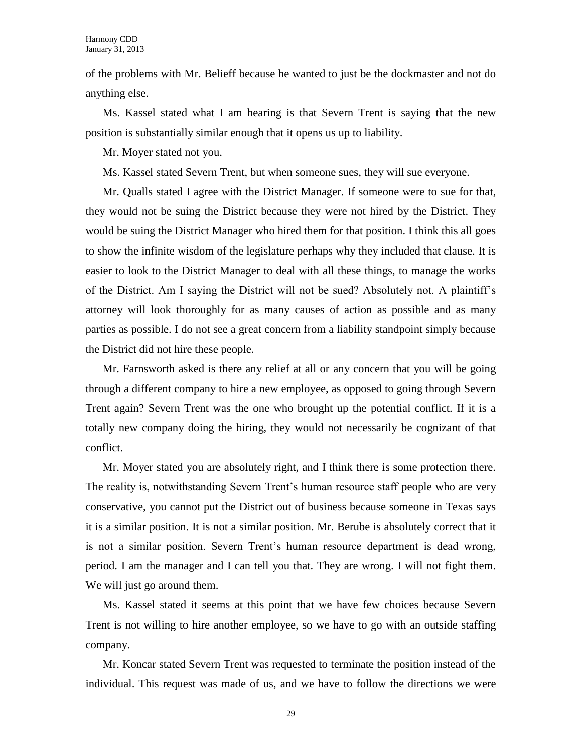of the problems with Mr. Belieff because he wanted to just be the dockmaster and not do anything else.

Ms. Kassel stated what I am hearing is that Severn Trent is saying that the new position is substantially similar enough that it opens us up to liability.

Mr. Moyer stated not you.

Ms. Kassel stated Severn Trent, but when someone sues, they will sue everyone.

Mr. Qualls stated I agree with the District Manager. If someone were to sue for that, they would not be suing the District because they were not hired by the District. They would be suing the District Manager who hired them for that position. I think this all goes to show the infinite wisdom of the legislature perhaps why they included that clause. It is easier to look to the District Manager to deal with all these things, to manage the works of the District. Am I saying the District will not be sued? Absolutely not. A plaintiff's attorney will look thoroughly for as many causes of action as possible and as many parties as possible. I do not see a great concern from a liability standpoint simply because the District did not hire these people.

Mr. Farnsworth asked is there any relief at all or any concern that you will be going through a different company to hire a new employee, as opposed to going through Severn Trent again? Severn Trent was the one who brought up the potential conflict. If it is a totally new company doing the hiring, they would not necessarily be cognizant of that conflict.

Mr. Moyer stated you are absolutely right, and I think there is some protection there. The reality is, notwithstanding Severn Trent's human resource staff people who are very conservative, you cannot put the District out of business because someone in Texas says it is a similar position. It is not a similar position. Mr. Berube is absolutely correct that it is not a similar position. Severn Trent's human resource department is dead wrong, period. I am the manager and I can tell you that. They are wrong. I will not fight them. We will just go around them.

Ms. Kassel stated it seems at this point that we have few choices because Severn Trent is not willing to hire another employee, so we have to go with an outside staffing company.

Mr. Koncar stated Severn Trent was requested to terminate the position instead of the individual. This request was made of us, and we have to follow the directions we were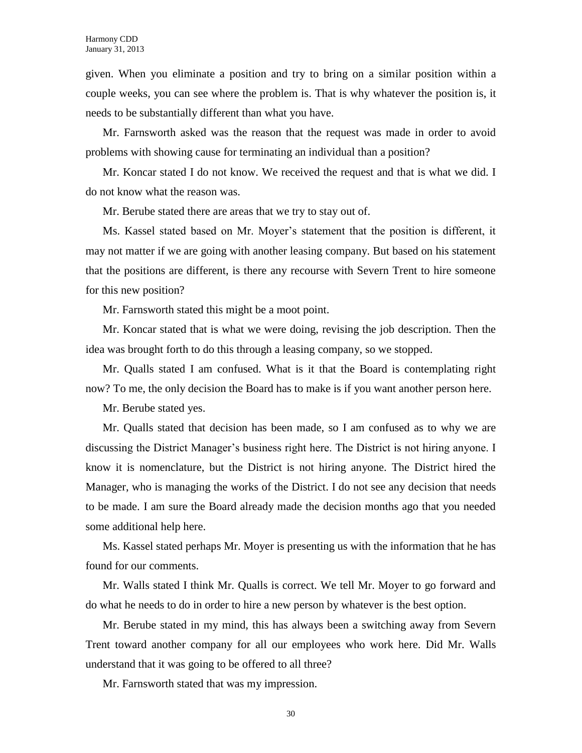given. When you eliminate a position and try to bring on a similar position within a couple weeks, you can see where the problem is. That is why whatever the position is, it needs to be substantially different than what you have.

Mr. Farnsworth asked was the reason that the request was made in order to avoid problems with showing cause for terminating an individual than a position?

Mr. Koncar stated I do not know. We received the request and that is what we did. I do not know what the reason was.

Mr. Berube stated there are areas that we try to stay out of.

Ms. Kassel stated based on Mr. Moyer's statement that the position is different, it may not matter if we are going with another leasing company. But based on his statement that the positions are different, is there any recourse with Severn Trent to hire someone for this new position?

Mr. Farnsworth stated this might be a moot point.

Mr. Koncar stated that is what we were doing, revising the job description. Then the idea was brought forth to do this through a leasing company, so we stopped.

Mr. Qualls stated I am confused. What is it that the Board is contemplating right now? To me, the only decision the Board has to make is if you want another person here.

Mr. Berube stated yes.

Mr. Qualls stated that decision has been made, so I am confused as to why we are discussing the District Manager's business right here. The District is not hiring anyone. I know it is nomenclature, but the District is not hiring anyone. The District hired the Manager, who is managing the works of the District. I do not see any decision that needs to be made. I am sure the Board already made the decision months ago that you needed some additional help here.

Ms. Kassel stated perhaps Mr. Moyer is presenting us with the information that he has found for our comments.

Mr. Walls stated I think Mr. Qualls is correct. We tell Mr. Moyer to go forward and do what he needs to do in order to hire a new person by whatever is the best option.

Mr. Berube stated in my mind, this has always been a switching away from Severn Trent toward another company for all our employees who work here. Did Mr. Walls understand that it was going to be offered to all three?

Mr. Farnsworth stated that was my impression.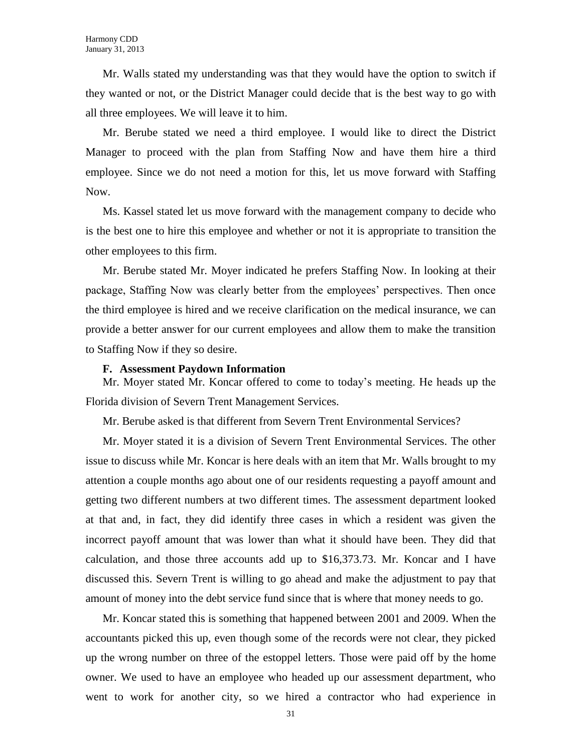Mr. Walls stated my understanding was that they would have the option to switch if they wanted or not, or the District Manager could decide that is the best way to go with all three employees. We will leave it to him.

Mr. Berube stated we need a third employee. I would like to direct the District Manager to proceed with the plan from Staffing Now and have them hire a third employee. Since we do not need a motion for this, let us move forward with Staffing Now.

Ms. Kassel stated let us move forward with the management company to decide who is the best one to hire this employee and whether or not it is appropriate to transition the other employees to this firm.

Mr. Berube stated Mr. Moyer indicated he prefers Staffing Now. In looking at their package, Staffing Now was clearly better from the employees' perspectives. Then once the third employee is hired and we receive clarification on the medical insurance, we can provide a better answer for our current employees and allow them to make the transition to Staffing Now if they so desire.

### **F. Assessment Paydown Information**

Mr. Moyer stated Mr. Koncar offered to come to today's meeting. He heads up the Florida division of Severn Trent Management Services.

Mr. Berube asked is that different from Severn Trent Environmental Services?

Mr. Moyer stated it is a division of Severn Trent Environmental Services. The other issue to discuss while Mr. Koncar is here deals with an item that Mr. Walls brought to my attention a couple months ago about one of our residents requesting a payoff amount and getting two different numbers at two different times. The assessment department looked at that and, in fact, they did identify three cases in which a resident was given the incorrect payoff amount that was lower than what it should have been. They did that calculation, and those three accounts add up to \$16,373.73. Mr. Koncar and I have discussed this. Severn Trent is willing to go ahead and make the adjustment to pay that amount of money into the debt service fund since that is where that money needs to go.

Mr. Koncar stated this is something that happened between 2001 and 2009. When the accountants picked this up, even though some of the records were not clear, they picked up the wrong number on three of the estoppel letters. Those were paid off by the home owner. We used to have an employee who headed up our assessment department, who went to work for another city, so we hired a contractor who had experience in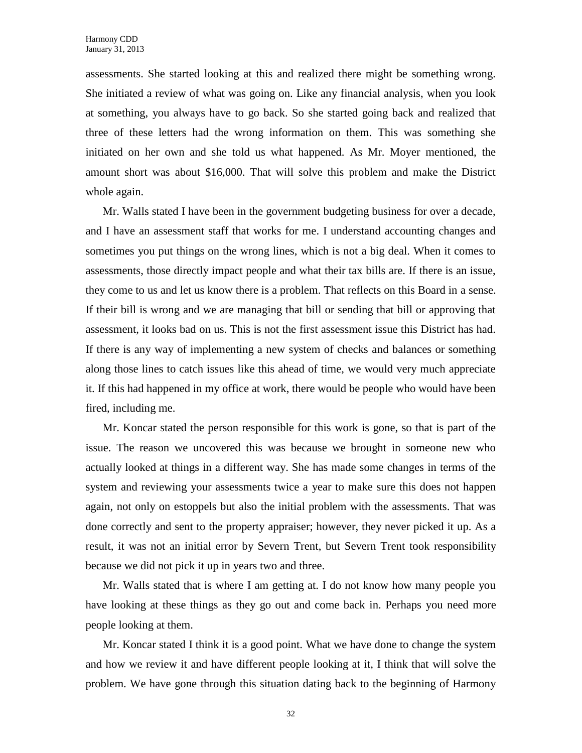assessments. She started looking at this and realized there might be something wrong. She initiated a review of what was going on. Like any financial analysis, when you look at something, you always have to go back. So she started going back and realized that three of these letters had the wrong information on them. This was something she initiated on her own and she told us what happened. As Mr. Moyer mentioned, the amount short was about \$16,000. That will solve this problem and make the District whole again.

Mr. Walls stated I have been in the government budgeting business for over a decade, and I have an assessment staff that works for me. I understand accounting changes and sometimes you put things on the wrong lines, which is not a big deal. When it comes to assessments, those directly impact people and what their tax bills are. If there is an issue, they come to us and let us know there is a problem. That reflects on this Board in a sense. If their bill is wrong and we are managing that bill or sending that bill or approving that assessment, it looks bad on us. This is not the first assessment issue this District has had. If there is any way of implementing a new system of checks and balances or something along those lines to catch issues like this ahead of time, we would very much appreciate it. If this had happened in my office at work, there would be people who would have been fired, including me.

Mr. Koncar stated the person responsible for this work is gone, so that is part of the issue. The reason we uncovered this was because we brought in someone new who actually looked at things in a different way. She has made some changes in terms of the system and reviewing your assessments twice a year to make sure this does not happen again, not only on estoppels but also the initial problem with the assessments. That was done correctly and sent to the property appraiser; however, they never picked it up. As a result, it was not an initial error by Severn Trent, but Severn Trent took responsibility because we did not pick it up in years two and three.

Mr. Walls stated that is where I am getting at. I do not know how many people you have looking at these things as they go out and come back in. Perhaps you need more people looking at them.

Mr. Koncar stated I think it is a good point. What we have done to change the system and how we review it and have different people looking at it, I think that will solve the problem. We have gone through this situation dating back to the beginning of Harmony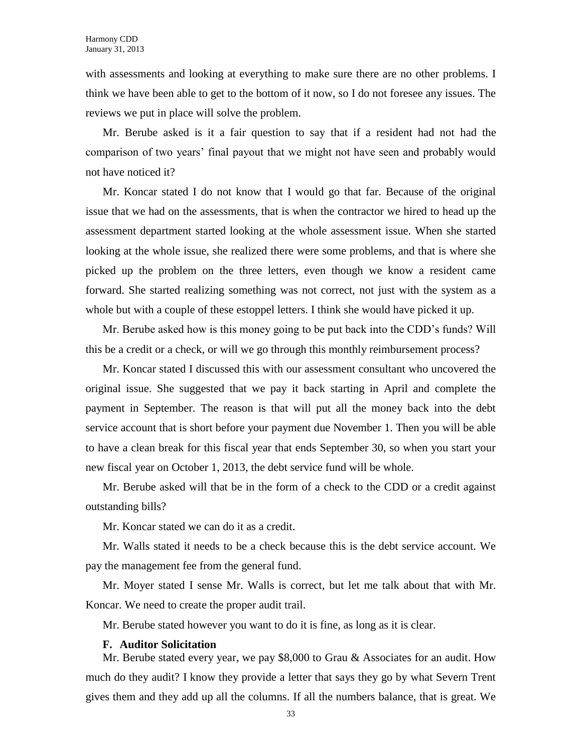with assessments and looking at everything to make sure there are no other problems. I think we have been able to get to the bottom of it now, so I do not foresee any issues. The reviews we put in place will solve the problem.

Mr. Berube asked is it a fair question to say that if a resident had not had the comparison of two years' final payout that we might not have seen and probably would not have noticed it?

Mr. Koncar stated I do not know that I would go that far. Because of the original issue that we had on the assessments, that is when the contractor we hired to head up the assessment department started looking at the whole assessment issue. When she started looking at the whole issue, she realized there were some problems, and that is where she picked up the problem on the three letters, even though we know a resident came forward. She started realizing something was not correct, not just with the system as a whole but with a couple of these estoppel letters. I think she would have picked it up.

Mr. Berube asked how is this money going to be put back into the CDD's funds? Will this be a credit or a check, or will we go through this monthly reimbursement process?

Mr. Koncar stated I discussed this with our assessment consultant who uncovered the original issue. She suggested that we pay it back starting in April and complete the payment in September. The reason is that will put all the money back into the debt service account that is short before your payment due November 1. Then you will be able to have a clean break for this fiscal year that ends September 30, so when you start your new fiscal year on October 1, 2013, the debt service fund will be whole.

Mr. Berube asked will that be in the form of a check to the CDD or a credit against outstanding bills?

Mr. Koncar stated we can do it as a credit.

Mr. Walls stated it needs to be a check because this is the debt service account. We pay the management fee from the general fund.

Mr. Moyer stated I sense Mr. Walls is correct, but let me talk about that with Mr. Koncar. We need to create the proper audit trail.

Mr. Berube stated however you want to do it is fine, as long as it is clear.

### **F. Auditor Solicitation**

Mr. Berube stated every year, we pay \$8,000 to Grau & Associates for an audit. How much do they audit? I know they provide a letter that says they go by what Severn Trent gives them and they add up all the columns. If all the numbers balance, that is great. We

33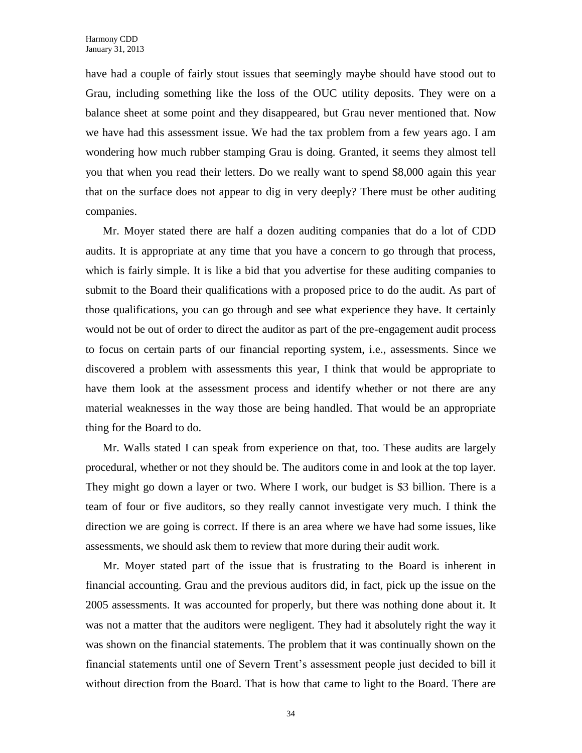have had a couple of fairly stout issues that seemingly maybe should have stood out to Grau, including something like the loss of the OUC utility deposits. They were on a balance sheet at some point and they disappeared, but Grau never mentioned that. Now we have had this assessment issue. We had the tax problem from a few years ago. I am wondering how much rubber stamping Grau is doing. Granted, it seems they almost tell you that when you read their letters. Do we really want to spend \$8,000 again this year that on the surface does not appear to dig in very deeply? There must be other auditing companies.

Mr. Moyer stated there are half a dozen auditing companies that do a lot of CDD audits. It is appropriate at any time that you have a concern to go through that process, which is fairly simple. It is like a bid that you advertise for these auditing companies to submit to the Board their qualifications with a proposed price to do the audit. As part of those qualifications, you can go through and see what experience they have. It certainly would not be out of order to direct the auditor as part of the pre-engagement audit process to focus on certain parts of our financial reporting system, i.e., assessments. Since we discovered a problem with assessments this year, I think that would be appropriate to have them look at the assessment process and identify whether or not there are any material weaknesses in the way those are being handled. That would be an appropriate thing for the Board to do.

Mr. Walls stated I can speak from experience on that, too. These audits are largely procedural, whether or not they should be. The auditors come in and look at the top layer. They might go down a layer or two. Where I work, our budget is \$3 billion. There is a team of four or five auditors, so they really cannot investigate very much. I think the direction we are going is correct. If there is an area where we have had some issues, like assessments, we should ask them to review that more during their audit work.

Mr. Moyer stated part of the issue that is frustrating to the Board is inherent in financial accounting. Grau and the previous auditors did, in fact, pick up the issue on the 2005 assessments. It was accounted for properly, but there was nothing done about it. It was not a matter that the auditors were negligent. They had it absolutely right the way it was shown on the financial statements. The problem that it was continually shown on the financial statements until one of Severn Trent's assessment people just decided to bill it without direction from the Board. That is how that came to light to the Board. There are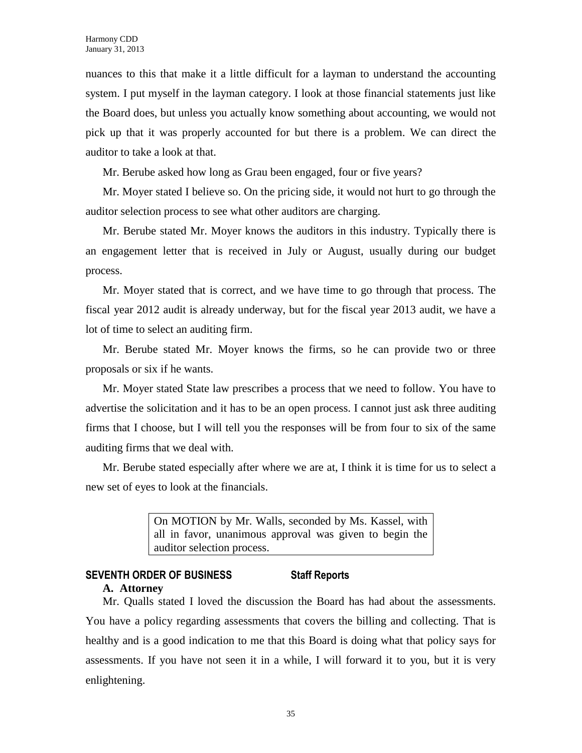nuances to this that make it a little difficult for a layman to understand the accounting system. I put myself in the layman category. I look at those financial statements just like the Board does, but unless you actually know something about accounting, we would not pick up that it was properly accounted for but there is a problem. We can direct the auditor to take a look at that.

Mr. Berube asked how long as Grau been engaged, four or five years?

Mr. Moyer stated I believe so. On the pricing side, it would not hurt to go through the auditor selection process to see what other auditors are charging.

Mr. Berube stated Mr. Moyer knows the auditors in this industry. Typically there is an engagement letter that is received in July or August, usually during our budget process.

Mr. Moyer stated that is correct, and we have time to go through that process. The fiscal year 2012 audit is already underway, but for the fiscal year 2013 audit, we have a lot of time to select an auditing firm.

Mr. Berube stated Mr. Moyer knows the firms, so he can provide two or three proposals or six if he wants.

Mr. Moyer stated State law prescribes a process that we need to follow. You have to advertise the solicitation and it has to be an open process. I cannot just ask three auditing firms that I choose, but I will tell you the responses will be from four to six of the same auditing firms that we deal with.

Mr. Berube stated especially after where we are at, I think it is time for us to select a new set of eyes to look at the financials.

> On MOTION by Mr. Walls, seconded by Ms. Kassel, with all in favor, unanimous approval was given to begin the auditor selection process.

### **SEVENTH ORDER OF BUSINESS Staff Reports A. Attorney**

Mr. Qualls stated I loved the discussion the Board has had about the assessments. You have a policy regarding assessments that covers the billing and collecting. That is healthy and is a good indication to me that this Board is doing what that policy says for assessments. If you have not seen it in a while, I will forward it to you, but it is very enlightening.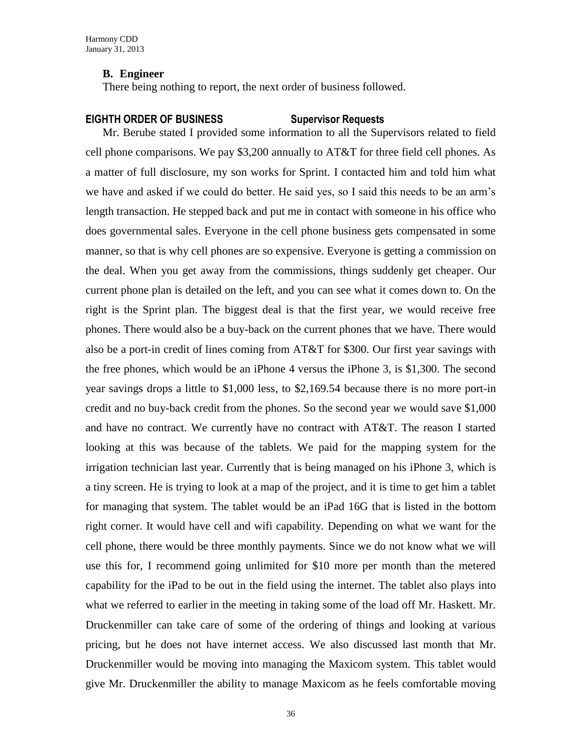### **B. Engineer**

There being nothing to report, the next order of business followed.

### **EIGHTH ORDER OF BUSINESS Supervisor Requests**

Mr. Berube stated I provided some information to all the Supervisors related to field cell phone comparisons. We pay \$3,200 annually to AT&T for three field cell phones. As a matter of full disclosure, my son works for Sprint. I contacted him and told him what we have and asked if we could do better. He said yes, so I said this needs to be an arm's length transaction. He stepped back and put me in contact with someone in his office who does governmental sales. Everyone in the cell phone business gets compensated in some manner, so that is why cell phones are so expensive. Everyone is getting a commission on the deal. When you get away from the commissions, things suddenly get cheaper. Our current phone plan is detailed on the left, and you can see what it comes down to. On the right is the Sprint plan. The biggest deal is that the first year, we would receive free phones. There would also be a buy-back on the current phones that we have. There would also be a port-in credit of lines coming from AT&T for \$300. Our first year savings with the free phones, which would be an iPhone 4 versus the iPhone 3, is \$1,300. The second year savings drops a little to \$1,000 less, to \$2,169.54 because there is no more port-in credit and no buy-back credit from the phones. So the second year we would save \$1,000 and have no contract. We currently have no contract with AT&T. The reason I started looking at this was because of the tablets. We paid for the mapping system for the irrigation technician last year. Currently that is being managed on his iPhone 3, which is a tiny screen. He is trying to look at a map of the project, and it is time to get him a tablet for managing that system. The tablet would be an iPad 16G that is listed in the bottom right corner. It would have cell and wifi capability. Depending on what we want for the cell phone, there would be three monthly payments. Since we do not know what we will use this for, I recommend going unlimited for \$10 more per month than the metered capability for the iPad to be out in the field using the internet. The tablet also plays into what we referred to earlier in the meeting in taking some of the load off Mr. Haskett. Mr. Druckenmiller can take care of some of the ordering of things and looking at various pricing, but he does not have internet access. We also discussed last month that Mr. Druckenmiller would be moving into managing the Maxicom system. This tablet would give Mr. Druckenmiller the ability to manage Maxicom as he feels comfortable moving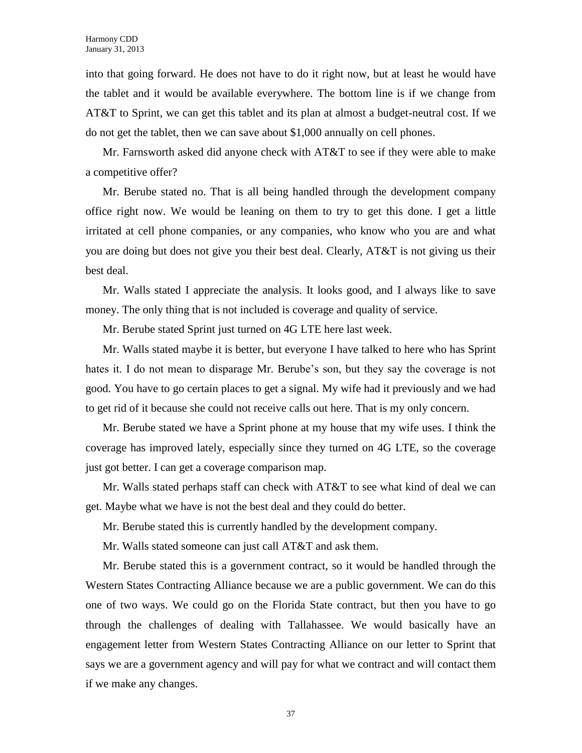into that going forward. He does not have to do it right now, but at least he would have the tablet and it would be available everywhere. The bottom line is if we change from AT&T to Sprint, we can get this tablet and its plan at almost a budget-neutral cost. If we do not get the tablet, then we can save about \$1,000 annually on cell phones.

Mr. Farnsworth asked did anyone check with AT&T to see if they were able to make a competitive offer?

Mr. Berube stated no. That is all being handled through the development company office right now. We would be leaning on them to try to get this done. I get a little irritated at cell phone companies, or any companies, who know who you are and what you are doing but does not give you their best deal. Clearly, AT&T is not giving us their best deal.

Mr. Walls stated I appreciate the analysis. It looks good, and I always like to save money. The only thing that is not included is coverage and quality of service.

Mr. Berube stated Sprint just turned on 4G LTE here last week.

Mr. Walls stated maybe it is better, but everyone I have talked to here who has Sprint hates it. I do not mean to disparage Mr. Berube's son, but they say the coverage is not good. You have to go certain places to get a signal. My wife had it previously and we had to get rid of it because she could not receive calls out here. That is my only concern.

Mr. Berube stated we have a Sprint phone at my house that my wife uses. I think the coverage has improved lately, especially since they turned on 4G LTE, so the coverage just got better. I can get a coverage comparison map.

Mr. Walls stated perhaps staff can check with AT&T to see what kind of deal we can get. Maybe what we have is not the best deal and they could do better.

Mr. Berube stated this is currently handled by the development company.

Mr. Walls stated someone can just call AT&T and ask them.

Mr. Berube stated this is a government contract, so it would be handled through the Western States Contracting Alliance because we are a public government. We can do this one of two ways. We could go on the Florida State contract, but then you have to go through the challenges of dealing with Tallahassee. We would basically have an engagement letter from Western States Contracting Alliance on our letter to Sprint that says we are a government agency and will pay for what we contract and will contact them if we make any changes.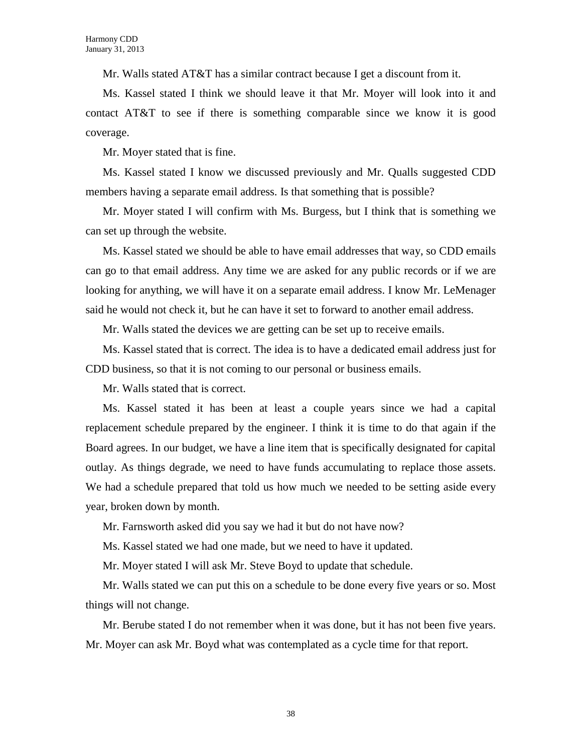Mr. Walls stated AT&T has a similar contract because I get a discount from it.

Ms. Kassel stated I think we should leave it that Mr. Moyer will look into it and contact AT&T to see if there is something comparable since we know it is good coverage.

Mr. Moyer stated that is fine.

Ms. Kassel stated I know we discussed previously and Mr. Qualls suggested CDD members having a separate email address. Is that something that is possible?

Mr. Moyer stated I will confirm with Ms. Burgess, but I think that is something we can set up through the website.

Ms. Kassel stated we should be able to have email addresses that way, so CDD emails can go to that email address. Any time we are asked for any public records or if we are looking for anything, we will have it on a separate email address. I know Mr. LeMenager said he would not check it, but he can have it set to forward to another email address.

Mr. Walls stated the devices we are getting can be set up to receive emails.

Ms. Kassel stated that is correct. The idea is to have a dedicated email address just for CDD business, so that it is not coming to our personal or business emails.

Mr. Walls stated that is correct.

Ms. Kassel stated it has been at least a couple years since we had a capital replacement schedule prepared by the engineer. I think it is time to do that again if the Board agrees. In our budget, we have a line item that is specifically designated for capital outlay. As things degrade, we need to have funds accumulating to replace those assets. We had a schedule prepared that told us how much we needed to be setting aside every year, broken down by month.

Mr. Farnsworth asked did you say we had it but do not have now?

Ms. Kassel stated we had one made, but we need to have it updated.

Mr. Moyer stated I will ask Mr. Steve Boyd to update that schedule.

Mr. Walls stated we can put this on a schedule to be done every five years or so. Most things will not change.

Mr. Berube stated I do not remember when it was done, but it has not been five years. Mr. Moyer can ask Mr. Boyd what was contemplated as a cycle time for that report.